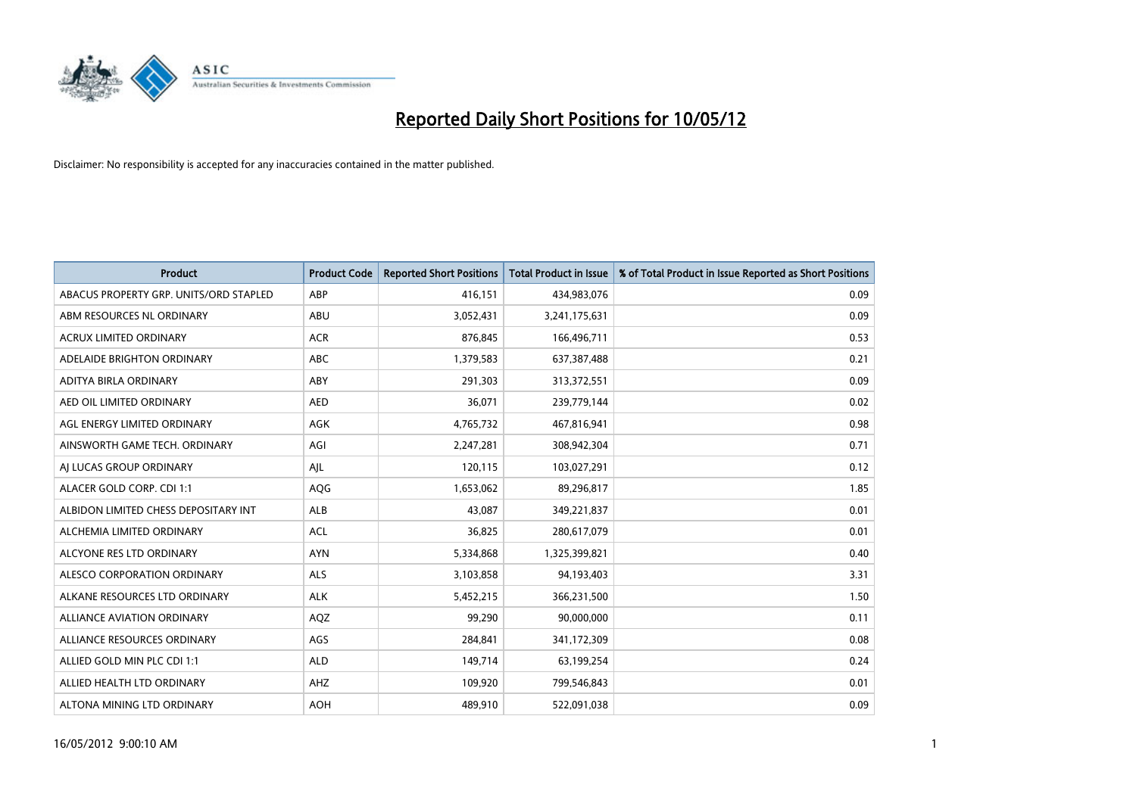

| <b>Product</b>                         | <b>Product Code</b> | <b>Reported Short Positions</b> | <b>Total Product in Issue</b> | % of Total Product in Issue Reported as Short Positions |
|----------------------------------------|---------------------|---------------------------------|-------------------------------|---------------------------------------------------------|
| ABACUS PROPERTY GRP. UNITS/ORD STAPLED | ABP                 | 416,151                         | 434,983,076                   | 0.09                                                    |
| ABM RESOURCES NL ORDINARY              | ABU                 | 3,052,431                       | 3,241,175,631                 | 0.09                                                    |
| <b>ACRUX LIMITED ORDINARY</b>          | <b>ACR</b>          | 876,845                         | 166,496,711                   | 0.53                                                    |
| ADELAIDE BRIGHTON ORDINARY             | <b>ABC</b>          | 1,379,583                       | 637,387,488                   | 0.21                                                    |
| ADITYA BIRLA ORDINARY                  | ABY                 | 291,303                         | 313,372,551                   | 0.09                                                    |
| AED OIL LIMITED ORDINARY               | <b>AED</b>          | 36,071                          | 239,779,144                   | 0.02                                                    |
| AGL ENERGY LIMITED ORDINARY            | AGK                 | 4,765,732                       | 467,816,941                   | 0.98                                                    |
| AINSWORTH GAME TECH. ORDINARY          | AGI                 | 2,247,281                       | 308,942,304                   | 0.71                                                    |
| AI LUCAS GROUP ORDINARY                | AJL                 | 120,115                         | 103,027,291                   | 0.12                                                    |
| ALACER GOLD CORP. CDI 1:1              | AQG                 | 1,653,062                       | 89,296,817                    | 1.85                                                    |
| ALBIDON LIMITED CHESS DEPOSITARY INT   | ALB                 | 43,087                          | 349,221,837                   | 0.01                                                    |
| ALCHEMIA LIMITED ORDINARY              | <b>ACL</b>          | 36,825                          | 280,617,079                   | 0.01                                                    |
| ALCYONE RES LTD ORDINARY               | <b>AYN</b>          | 5,334,868                       | 1,325,399,821                 | 0.40                                                    |
| ALESCO CORPORATION ORDINARY            | ALS                 | 3,103,858                       | 94,193,403                    | 3.31                                                    |
| ALKANE RESOURCES LTD ORDINARY          | <b>ALK</b>          | 5,452,215                       | 366,231,500                   | 1.50                                                    |
| ALLIANCE AVIATION ORDINARY             | AQZ                 | 99,290                          | 90,000,000                    | 0.11                                                    |
| ALLIANCE RESOURCES ORDINARY            | AGS                 | 284,841                         | 341,172,309                   | 0.08                                                    |
| ALLIED GOLD MIN PLC CDI 1:1            | <b>ALD</b>          | 149,714                         | 63,199,254                    | 0.24                                                    |
| ALLIED HEALTH LTD ORDINARY             | AHZ                 | 109,920                         | 799,546,843                   | 0.01                                                    |
| ALTONA MINING LTD ORDINARY             | <b>AOH</b>          | 489,910                         | 522,091,038                   | 0.09                                                    |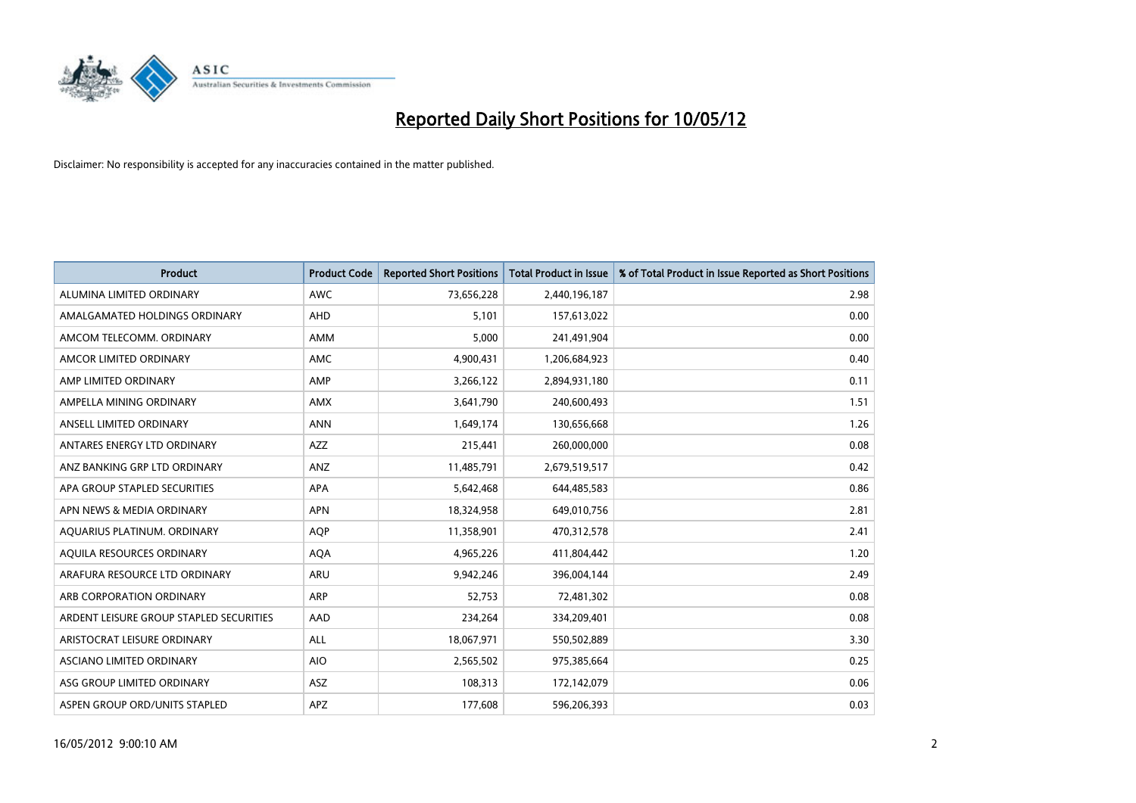

| <b>Product</b>                          | <b>Product Code</b> | <b>Reported Short Positions</b> | <b>Total Product in Issue</b> | % of Total Product in Issue Reported as Short Positions |
|-----------------------------------------|---------------------|---------------------------------|-------------------------------|---------------------------------------------------------|
| ALUMINA LIMITED ORDINARY                | <b>AWC</b>          | 73,656,228                      | 2,440,196,187                 | 2.98                                                    |
| AMALGAMATED HOLDINGS ORDINARY           | <b>AHD</b>          | 5,101                           | 157,613,022                   | 0.00                                                    |
| AMCOM TELECOMM. ORDINARY                | AMM                 | 5,000                           | 241,491,904                   | 0.00                                                    |
| AMCOR LIMITED ORDINARY                  | AMC                 | 4,900,431                       | 1,206,684,923                 | 0.40                                                    |
| AMP LIMITED ORDINARY                    | AMP                 | 3,266,122                       | 2,894,931,180                 | 0.11                                                    |
| AMPELLA MINING ORDINARY                 | AMX                 | 3,641,790                       | 240,600,493                   | 1.51                                                    |
| ANSELL LIMITED ORDINARY                 | <b>ANN</b>          | 1,649,174                       | 130,656,668                   | 1.26                                                    |
| ANTARES ENERGY LTD ORDINARY             | AZZ                 | 215,441                         | 260,000,000                   | 0.08                                                    |
| ANZ BANKING GRP LTD ORDINARY            | ANZ                 | 11,485,791                      | 2,679,519,517                 | 0.42                                                    |
| APA GROUP STAPLED SECURITIES            | <b>APA</b>          | 5,642,468                       | 644,485,583                   | 0.86                                                    |
| APN NEWS & MEDIA ORDINARY               | <b>APN</b>          | 18,324,958                      | 649,010,756                   | 2.81                                                    |
| AQUARIUS PLATINUM. ORDINARY             | <b>AOP</b>          | 11,358,901                      | 470,312,578                   | 2.41                                                    |
| AQUILA RESOURCES ORDINARY               | <b>AQA</b>          | 4,965,226                       | 411,804,442                   | 1.20                                                    |
| ARAFURA RESOURCE LTD ORDINARY           | <b>ARU</b>          | 9,942,246                       | 396,004,144                   | 2.49                                                    |
| ARB CORPORATION ORDINARY                | ARP                 | 52,753                          | 72,481,302                    | 0.08                                                    |
| ARDENT LEISURE GROUP STAPLED SECURITIES | AAD                 | 234,264                         | 334,209,401                   | 0.08                                                    |
| ARISTOCRAT LEISURE ORDINARY             | ALL                 | 18,067,971                      | 550,502,889                   | 3.30                                                    |
| ASCIANO LIMITED ORDINARY                | <b>AIO</b>          | 2,565,502                       | 975,385,664                   | 0.25                                                    |
| ASG GROUP LIMITED ORDINARY              | <b>ASZ</b>          | 108,313                         | 172,142,079                   | 0.06                                                    |
| ASPEN GROUP ORD/UNITS STAPLED           | <b>APZ</b>          | 177,608                         | 596,206,393                   | 0.03                                                    |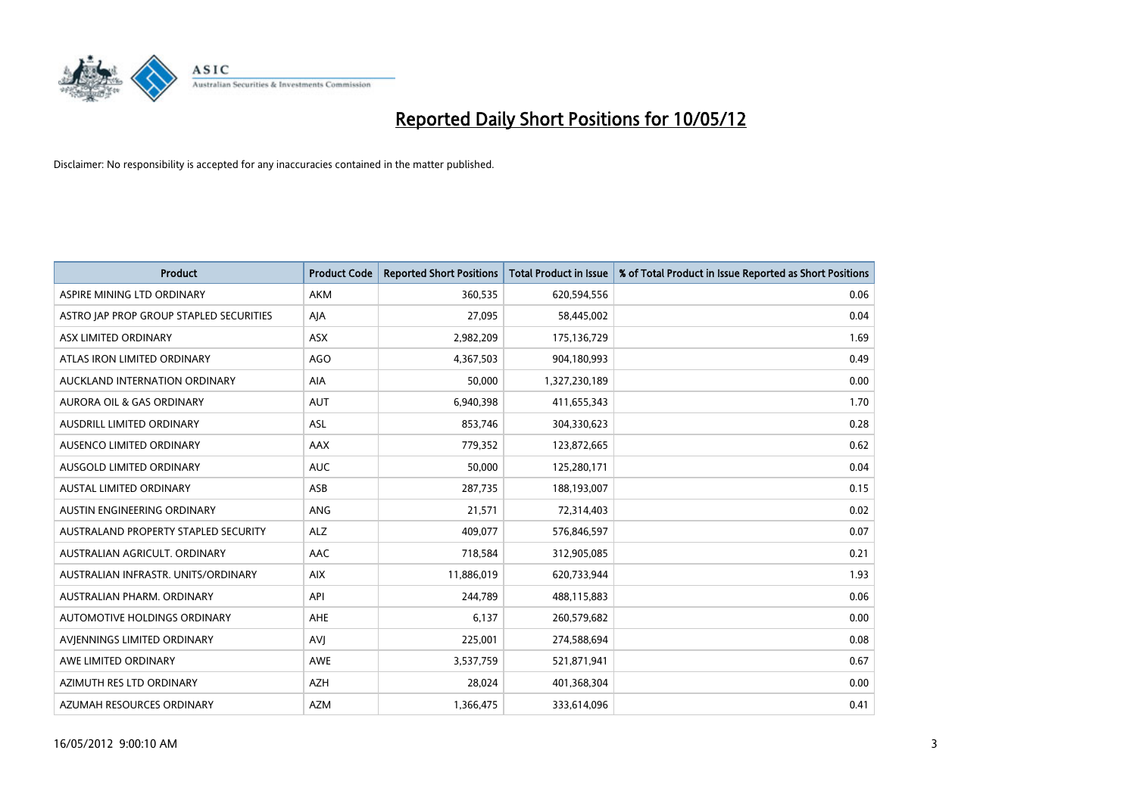

| <b>Product</b>                          | <b>Product Code</b> | <b>Reported Short Positions</b> | <b>Total Product in Issue</b> | % of Total Product in Issue Reported as Short Positions |
|-----------------------------------------|---------------------|---------------------------------|-------------------------------|---------------------------------------------------------|
| ASPIRE MINING LTD ORDINARY              | <b>AKM</b>          | 360,535                         | 620,594,556                   | 0.06                                                    |
| ASTRO JAP PROP GROUP STAPLED SECURITIES | AJA                 | 27,095                          | 58,445,002                    | 0.04                                                    |
| ASX LIMITED ORDINARY                    | <b>ASX</b>          | 2,982,209                       | 175,136,729                   | 1.69                                                    |
| ATLAS IRON LIMITED ORDINARY             | AGO                 | 4,367,503                       | 904,180,993                   | 0.49                                                    |
| AUCKLAND INTERNATION ORDINARY           | AIA                 | 50,000                          | 1,327,230,189                 | 0.00                                                    |
| <b>AURORA OIL &amp; GAS ORDINARY</b>    | <b>AUT</b>          | 6,940,398                       | 411,655,343                   | 1.70                                                    |
| AUSDRILL LIMITED ORDINARY               | ASL                 | 853,746                         | 304,330,623                   | 0.28                                                    |
| AUSENCO LIMITED ORDINARY                | AAX                 | 779,352                         | 123,872,665                   | 0.62                                                    |
| AUSGOLD LIMITED ORDINARY                | <b>AUC</b>          | 50.000                          | 125,280,171                   | 0.04                                                    |
| <b>AUSTAL LIMITED ORDINARY</b>          | ASB                 | 287,735                         | 188,193,007                   | 0.15                                                    |
| AUSTIN ENGINEERING ORDINARY             | ANG                 | 21,571                          | 72,314,403                    | 0.02                                                    |
| AUSTRALAND PROPERTY STAPLED SECURITY    | <b>ALZ</b>          | 409,077                         | 576,846,597                   | 0.07                                                    |
| AUSTRALIAN AGRICULT. ORDINARY           | AAC                 | 718,584                         | 312,905,085                   | 0.21                                                    |
| AUSTRALIAN INFRASTR. UNITS/ORDINARY     | <b>AIX</b>          | 11,886,019                      | 620,733,944                   | 1.93                                                    |
| AUSTRALIAN PHARM, ORDINARY              | API                 | 244,789                         | 488,115,883                   | 0.06                                                    |
| AUTOMOTIVE HOLDINGS ORDINARY            | AHE                 | 6,137                           | 260,579,682                   | 0.00                                                    |
| AVIENNINGS LIMITED ORDINARY             | <b>AVJ</b>          | 225,001                         | 274,588,694                   | 0.08                                                    |
| AWE LIMITED ORDINARY                    | <b>AWE</b>          | 3,537,759                       | 521,871,941                   | 0.67                                                    |
| AZIMUTH RES LTD ORDINARY                | <b>AZH</b>          | 28,024                          | 401,368,304                   | 0.00                                                    |
| AZUMAH RESOURCES ORDINARY               | <b>AZM</b>          | 1,366,475                       | 333,614,096                   | 0.41                                                    |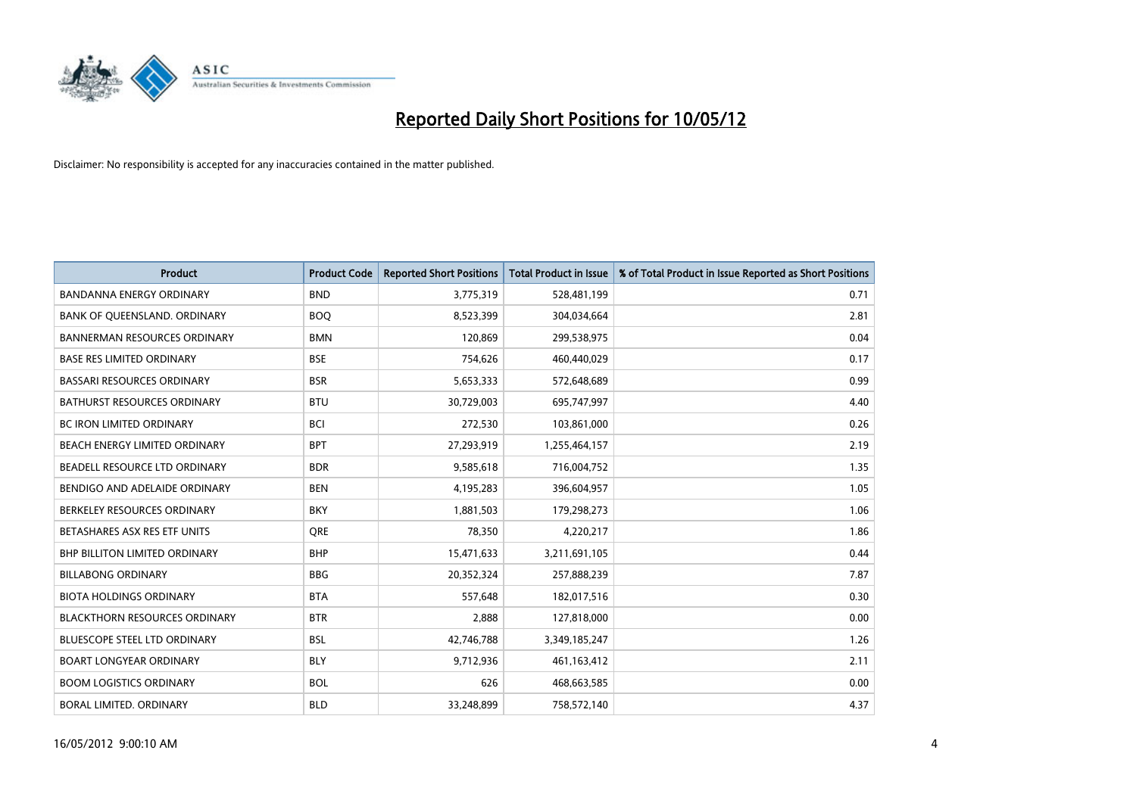

| <b>Product</b>                       | <b>Product Code</b> | <b>Reported Short Positions</b> | <b>Total Product in Issue</b> | % of Total Product in Issue Reported as Short Positions |
|--------------------------------------|---------------------|---------------------------------|-------------------------------|---------------------------------------------------------|
| <b>BANDANNA ENERGY ORDINARY</b>      | <b>BND</b>          | 3,775,319                       | 528,481,199                   | 0.71                                                    |
| BANK OF QUEENSLAND. ORDINARY         | <b>BOO</b>          | 8,523,399                       | 304,034,664                   | 2.81                                                    |
| <b>BANNERMAN RESOURCES ORDINARY</b>  | <b>BMN</b>          | 120,869                         | 299,538,975                   | 0.04                                                    |
| <b>BASE RES LIMITED ORDINARY</b>     | <b>BSE</b>          | 754,626                         | 460,440,029                   | 0.17                                                    |
| <b>BASSARI RESOURCES ORDINARY</b>    | <b>BSR</b>          | 5,653,333                       | 572,648,689                   | 0.99                                                    |
| <b>BATHURST RESOURCES ORDINARY</b>   | <b>BTU</b>          | 30,729,003                      | 695,747,997                   | 4.40                                                    |
| <b>BC IRON LIMITED ORDINARY</b>      | <b>BCI</b>          | 272,530                         | 103,861,000                   | 0.26                                                    |
| BEACH ENERGY LIMITED ORDINARY        | <b>BPT</b>          | 27,293,919                      | 1,255,464,157                 | 2.19                                                    |
| BEADELL RESOURCE LTD ORDINARY        | <b>BDR</b>          | 9,585,618                       | 716,004,752                   | 1.35                                                    |
| BENDIGO AND ADELAIDE ORDINARY        | <b>BEN</b>          | 4,195,283                       | 396,604,957                   | 1.05                                                    |
| BERKELEY RESOURCES ORDINARY          | <b>BKY</b>          | 1,881,503                       | 179,298,273                   | 1.06                                                    |
| BETASHARES ASX RES ETF UNITS         | <b>ORE</b>          | 78,350                          | 4,220,217                     | 1.86                                                    |
| <b>BHP BILLITON LIMITED ORDINARY</b> | <b>BHP</b>          | 15,471,633                      | 3,211,691,105                 | 0.44                                                    |
| <b>BILLABONG ORDINARY</b>            | <b>BBG</b>          | 20,352,324                      | 257,888,239                   | 7.87                                                    |
| <b>BIOTA HOLDINGS ORDINARY</b>       | <b>BTA</b>          | 557,648                         | 182,017,516                   | 0.30                                                    |
| <b>BLACKTHORN RESOURCES ORDINARY</b> | <b>BTR</b>          | 2,888                           | 127,818,000                   | 0.00                                                    |
| <b>BLUESCOPE STEEL LTD ORDINARY</b>  | <b>BSL</b>          | 42,746,788                      | 3,349,185,247                 | 1.26                                                    |
| BOART LONGYEAR ORDINARY              | <b>BLY</b>          | 9,712,936                       | 461,163,412                   | 2.11                                                    |
| <b>BOOM LOGISTICS ORDINARY</b>       | <b>BOL</b>          | 626                             | 468,663,585                   | 0.00                                                    |
| BORAL LIMITED, ORDINARY              | <b>BLD</b>          | 33,248,899                      | 758,572,140                   | 4.37                                                    |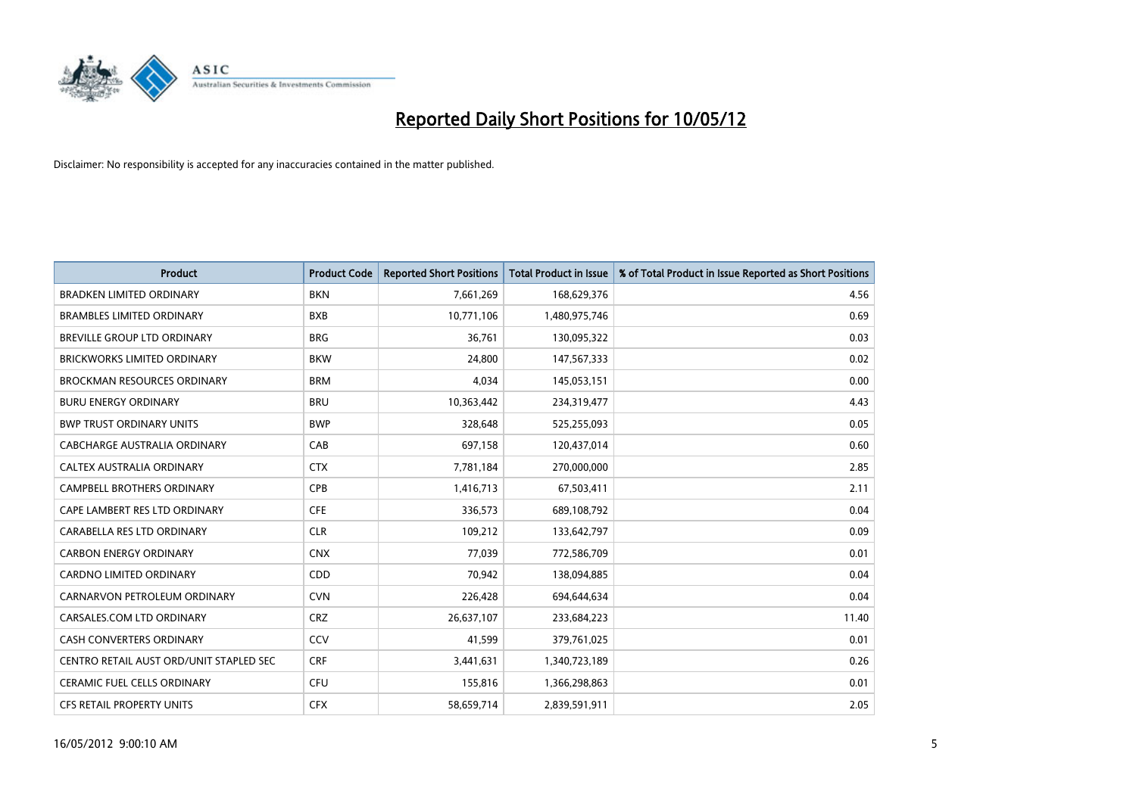

| <b>Product</b>                          | <b>Product Code</b> | <b>Reported Short Positions</b> | <b>Total Product in Issue</b> | % of Total Product in Issue Reported as Short Positions |
|-----------------------------------------|---------------------|---------------------------------|-------------------------------|---------------------------------------------------------|
| <b>BRADKEN LIMITED ORDINARY</b>         | <b>BKN</b>          | 7,661,269                       | 168,629,376                   | 4.56                                                    |
| <b>BRAMBLES LIMITED ORDINARY</b>        | <b>BXB</b>          | 10,771,106                      | 1,480,975,746                 | 0.69                                                    |
| BREVILLE GROUP LTD ORDINARY             | <b>BRG</b>          | 36,761                          | 130,095,322                   | 0.03                                                    |
| <b>BRICKWORKS LIMITED ORDINARY</b>      | <b>BKW</b>          | 24,800                          | 147,567,333                   | 0.02                                                    |
| <b>BROCKMAN RESOURCES ORDINARY</b>      | <b>BRM</b>          | 4,034                           | 145,053,151                   | 0.00                                                    |
| <b>BURU ENERGY ORDINARY</b>             | <b>BRU</b>          | 10,363,442                      | 234,319,477                   | 4.43                                                    |
| <b>BWP TRUST ORDINARY UNITS</b>         | <b>BWP</b>          | 328,648                         | 525,255,093                   | 0.05                                                    |
| <b>CABCHARGE AUSTRALIA ORDINARY</b>     | CAB                 | 697,158                         | 120,437,014                   | 0.60                                                    |
| CALTEX AUSTRALIA ORDINARY               | <b>CTX</b>          | 7,781,184                       | 270,000,000                   | 2.85                                                    |
| <b>CAMPBELL BROTHERS ORDINARY</b>       | <b>CPB</b>          | 1,416,713                       | 67,503,411                    | 2.11                                                    |
| CAPE LAMBERT RES LTD ORDINARY           | <b>CFE</b>          | 336,573                         | 689,108,792                   | 0.04                                                    |
| CARABELLA RES LTD ORDINARY              | <b>CLR</b>          | 109,212                         | 133,642,797                   | 0.09                                                    |
| <b>CARBON ENERGY ORDINARY</b>           | <b>CNX</b>          | 77,039                          | 772,586,709                   | 0.01                                                    |
| <b>CARDNO LIMITED ORDINARY</b>          | CDD                 | 70,942                          | 138,094,885                   | 0.04                                                    |
| CARNARVON PETROLEUM ORDINARY            | <b>CVN</b>          | 226,428                         | 694,644,634                   | 0.04                                                    |
| CARSALES.COM LTD ORDINARY               | <b>CRZ</b>          | 26,637,107                      | 233,684,223                   | 11.40                                                   |
| CASH CONVERTERS ORDINARY                | CCV                 | 41,599                          | 379,761,025                   | 0.01                                                    |
| CENTRO RETAIL AUST ORD/UNIT STAPLED SEC | <b>CRF</b>          | 3,441,631                       | 1,340,723,189                 | 0.26                                                    |
| CERAMIC FUEL CELLS ORDINARY             | <b>CFU</b>          | 155,816                         | 1,366,298,863                 | 0.01                                                    |
| CFS RETAIL PROPERTY UNITS               | <b>CFX</b>          | 58,659,714                      | 2,839,591,911                 | 2.05                                                    |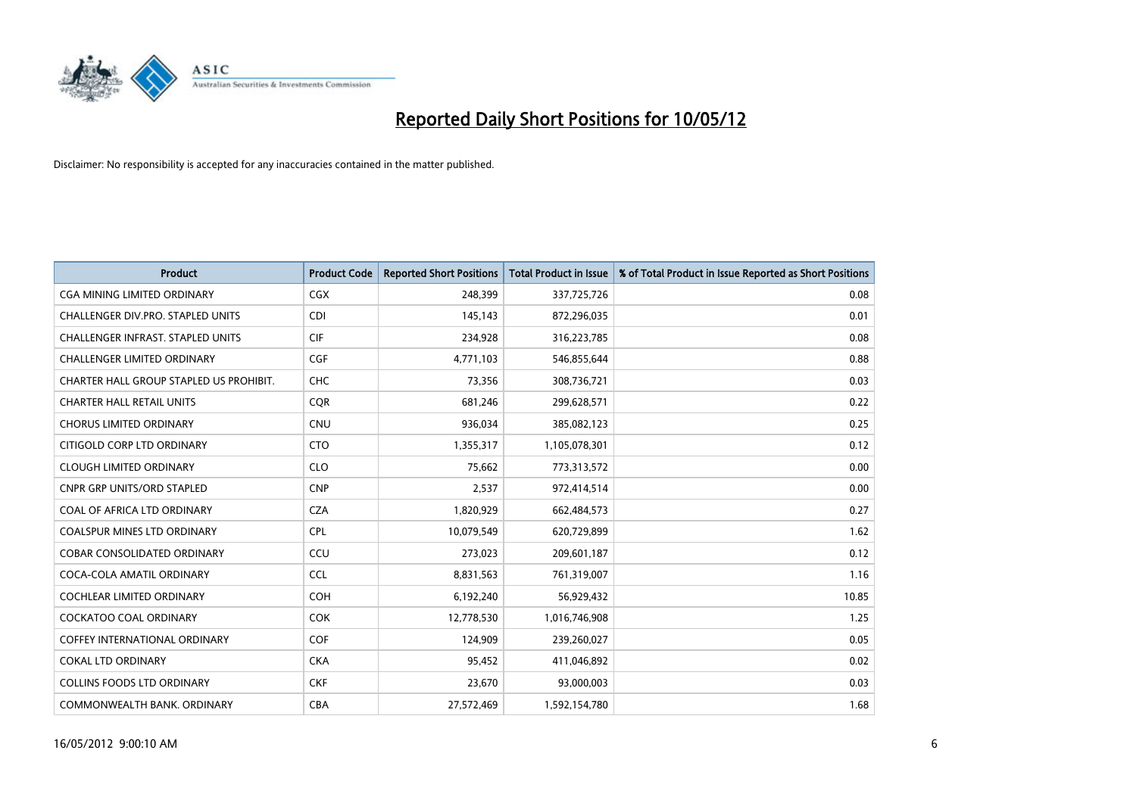

| <b>Product</b>                           | <b>Product Code</b> | <b>Reported Short Positions</b> | <b>Total Product in Issue</b> | % of Total Product in Issue Reported as Short Positions |
|------------------------------------------|---------------------|---------------------------------|-------------------------------|---------------------------------------------------------|
| <b>CGA MINING LIMITED ORDINARY</b>       | <b>CGX</b>          | 248,399                         | 337,725,726                   | 0.08                                                    |
| CHALLENGER DIV.PRO. STAPLED UNITS        | <b>CDI</b>          | 145,143                         | 872,296,035                   | 0.01                                                    |
| <b>CHALLENGER INFRAST, STAPLED UNITS</b> | <b>CIF</b>          | 234,928                         | 316,223,785                   | 0.08                                                    |
| <b>CHALLENGER LIMITED ORDINARY</b>       | <b>CGF</b>          | 4,771,103                       | 546,855,644                   | 0.88                                                    |
| CHARTER HALL GROUP STAPLED US PROHIBIT.  | <b>CHC</b>          | 73,356                          | 308,736,721                   | 0.03                                                    |
| <b>CHARTER HALL RETAIL UNITS</b>         | CQR                 | 681,246                         | 299,628,571                   | 0.22                                                    |
| <b>CHORUS LIMITED ORDINARY</b>           | <b>CNU</b>          | 936,034                         | 385,082,123                   | 0.25                                                    |
| CITIGOLD CORP LTD ORDINARY               | <b>CTO</b>          | 1,355,317                       | 1,105,078,301                 | 0.12                                                    |
| <b>CLOUGH LIMITED ORDINARY</b>           | <b>CLO</b>          | 75,662                          | 773,313,572                   | 0.00                                                    |
| <b>CNPR GRP UNITS/ORD STAPLED</b>        | <b>CNP</b>          | 2,537                           | 972,414,514                   | 0.00                                                    |
| COAL OF AFRICA LTD ORDINARY              | <b>CZA</b>          | 1,820,929                       | 662,484,573                   | 0.27                                                    |
| <b>COALSPUR MINES LTD ORDINARY</b>       | <b>CPL</b>          | 10,079,549                      | 620,729,899                   | 1.62                                                    |
| COBAR CONSOLIDATED ORDINARY              | CCU                 | 273,023                         | 209,601,187                   | 0.12                                                    |
| COCA-COLA AMATIL ORDINARY                | <b>CCL</b>          | 8,831,563                       | 761,319,007                   | 1.16                                                    |
| <b>COCHLEAR LIMITED ORDINARY</b>         | COH                 | 6,192,240                       | 56,929,432                    | 10.85                                                   |
| <b>COCKATOO COAL ORDINARY</b>            | <b>COK</b>          | 12,778,530                      | 1,016,746,908                 | 1.25                                                    |
| COFFEY INTERNATIONAL ORDINARY            | <b>COF</b>          | 124,909                         | 239,260,027                   | 0.05                                                    |
| <b>COKAL LTD ORDINARY</b>                | <b>CKA</b>          | 95,452                          | 411,046,892                   | 0.02                                                    |
| <b>COLLINS FOODS LTD ORDINARY</b>        | <b>CKF</b>          | 23,670                          | 93,000,003                    | 0.03                                                    |
| COMMONWEALTH BANK, ORDINARY              | <b>CBA</b>          | 27,572,469                      | 1,592,154,780                 | 1.68                                                    |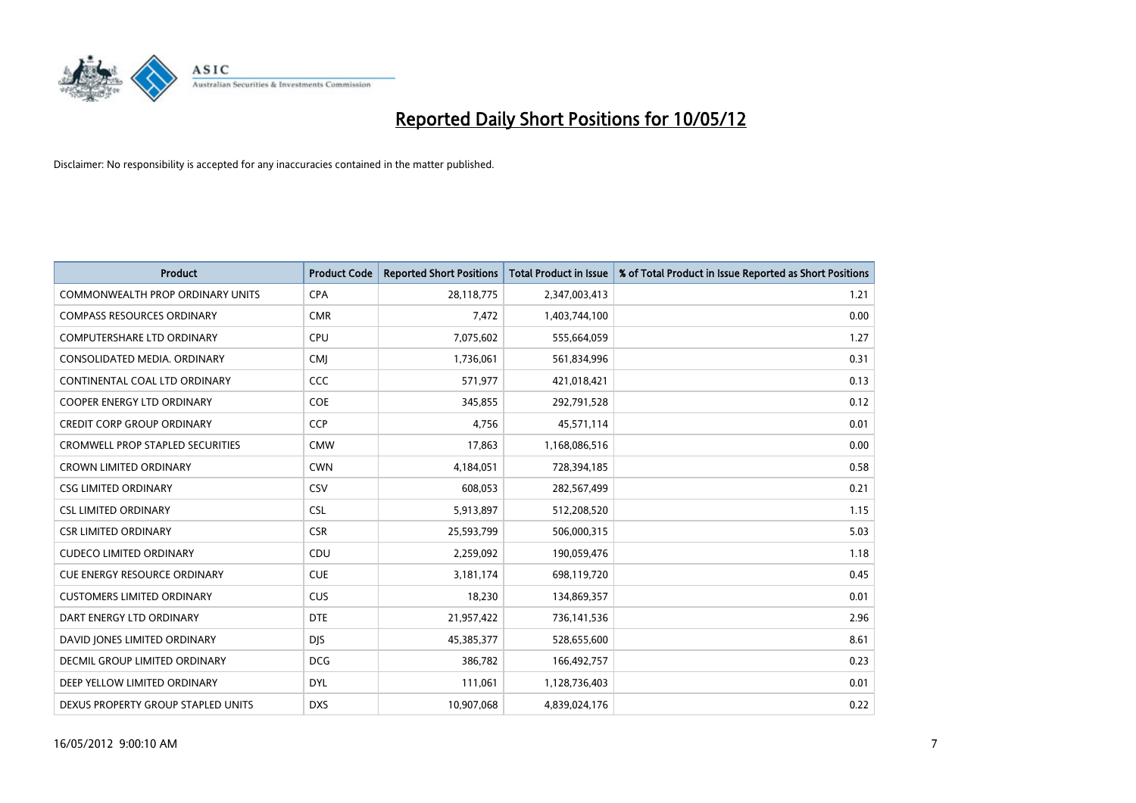

| <b>Product</b>                          | <b>Product Code</b> | <b>Reported Short Positions</b> | <b>Total Product in Issue</b> | % of Total Product in Issue Reported as Short Positions |
|-----------------------------------------|---------------------|---------------------------------|-------------------------------|---------------------------------------------------------|
| <b>COMMONWEALTH PROP ORDINARY UNITS</b> | <b>CPA</b>          | 28,118,775                      | 2,347,003,413                 | 1.21                                                    |
| <b>COMPASS RESOURCES ORDINARY</b>       | <b>CMR</b>          | 7,472                           | 1,403,744,100                 | 0.00                                                    |
| <b>COMPUTERSHARE LTD ORDINARY</b>       | <b>CPU</b>          | 7,075,602                       | 555,664,059                   | 1.27                                                    |
| CONSOLIDATED MEDIA, ORDINARY            | <b>CMI</b>          | 1,736,061                       | 561,834,996                   | 0.31                                                    |
| CONTINENTAL COAL LTD ORDINARY           | CCC                 | 571,977                         | 421,018,421                   | 0.13                                                    |
| <b>COOPER ENERGY LTD ORDINARY</b>       | <b>COE</b>          | 345,855                         | 292,791,528                   | 0.12                                                    |
| <b>CREDIT CORP GROUP ORDINARY</b>       | <b>CCP</b>          | 4,756                           | 45,571,114                    | 0.01                                                    |
| <b>CROMWELL PROP STAPLED SECURITIES</b> | <b>CMW</b>          | 17,863                          | 1,168,086,516                 | 0.00                                                    |
| <b>CROWN LIMITED ORDINARY</b>           | <b>CWN</b>          | 4,184,051                       | 728,394,185                   | 0.58                                                    |
| <b>CSG LIMITED ORDINARY</b>             | CSV                 | 608,053                         | 282,567,499                   | 0.21                                                    |
| <b>CSL LIMITED ORDINARY</b>             | <b>CSL</b>          | 5,913,897                       | 512,208,520                   | 1.15                                                    |
| <b>CSR LIMITED ORDINARY</b>             | <b>CSR</b>          | 25,593,799                      | 506,000,315                   | 5.03                                                    |
| <b>CUDECO LIMITED ORDINARY</b>          | CDU                 | 2,259,092                       | 190,059,476                   | 1.18                                                    |
| <b>CUE ENERGY RESOURCE ORDINARY</b>     | <b>CUE</b>          | 3,181,174                       | 698,119,720                   | 0.45                                                    |
| <b>CUSTOMERS LIMITED ORDINARY</b>       | <b>CUS</b>          | 18,230                          | 134,869,357                   | 0.01                                                    |
| DART ENERGY LTD ORDINARY                | <b>DTE</b>          | 21,957,422                      | 736,141,536                   | 2.96                                                    |
| DAVID JONES LIMITED ORDINARY            | <b>DJS</b>          | 45,385,377                      | 528,655,600                   | 8.61                                                    |
| <b>DECMIL GROUP LIMITED ORDINARY</b>    | <b>DCG</b>          | 386,782                         | 166,492,757                   | 0.23                                                    |
| DEEP YELLOW LIMITED ORDINARY            | <b>DYL</b>          | 111,061                         | 1,128,736,403                 | 0.01                                                    |
| DEXUS PROPERTY GROUP STAPLED UNITS      | <b>DXS</b>          | 10,907,068                      | 4,839,024,176                 | 0.22                                                    |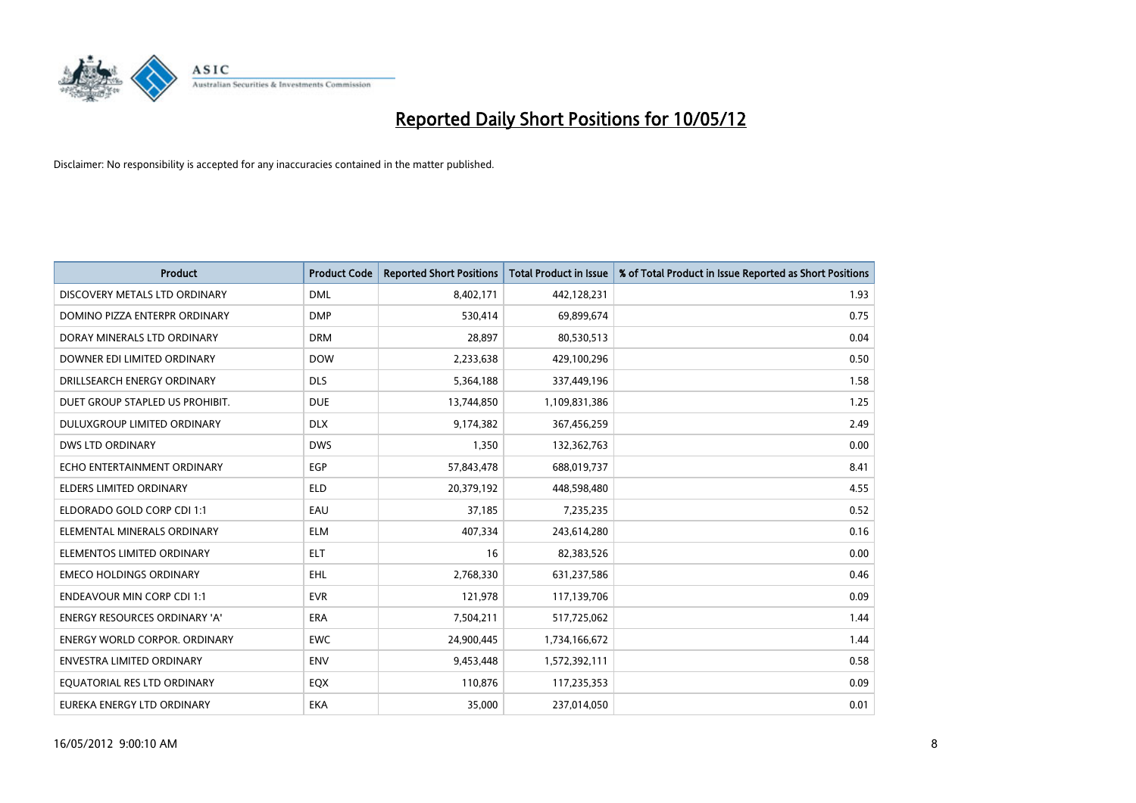

| <b>Product</b>                       | <b>Product Code</b> | <b>Reported Short Positions</b> | <b>Total Product in Issue</b> | % of Total Product in Issue Reported as Short Positions |
|--------------------------------------|---------------------|---------------------------------|-------------------------------|---------------------------------------------------------|
| DISCOVERY METALS LTD ORDINARY        | <b>DML</b>          | 8,402,171                       | 442,128,231                   | 1.93                                                    |
| DOMINO PIZZA ENTERPR ORDINARY        | <b>DMP</b>          | 530,414                         | 69,899,674                    | 0.75                                                    |
| DORAY MINERALS LTD ORDINARY          | <b>DRM</b>          | 28,897                          | 80,530,513                    | 0.04                                                    |
| DOWNER EDI LIMITED ORDINARY          | <b>DOW</b>          | 2,233,638                       | 429,100,296                   | 0.50                                                    |
| DRILLSEARCH ENERGY ORDINARY          | <b>DLS</b>          | 5,364,188                       | 337,449,196                   | 1.58                                                    |
| DUET GROUP STAPLED US PROHIBIT.      | <b>DUE</b>          | 13,744,850                      | 1,109,831,386                 | 1.25                                                    |
| <b>DULUXGROUP LIMITED ORDINARY</b>   | <b>DLX</b>          | 9,174,382                       | 367,456,259                   | 2.49                                                    |
| <b>DWS LTD ORDINARY</b>              | <b>DWS</b>          | 1,350                           | 132,362,763                   | 0.00                                                    |
| ECHO ENTERTAINMENT ORDINARY          | <b>EGP</b>          | 57,843,478                      | 688,019,737                   | 8.41                                                    |
| <b>ELDERS LIMITED ORDINARY</b>       | <b>ELD</b>          | 20,379,192                      | 448,598,480                   | 4.55                                                    |
| ELDORADO GOLD CORP CDI 1:1           | EAU                 | 37,185                          | 7,235,235                     | 0.52                                                    |
| ELEMENTAL MINERALS ORDINARY          | <b>ELM</b>          | 407,334                         | 243,614,280                   | 0.16                                                    |
| ELEMENTOS LIMITED ORDINARY           | <b>ELT</b>          | 16                              | 82,383,526                    | 0.00                                                    |
| <b>EMECO HOLDINGS ORDINARY</b>       | <b>EHL</b>          | 2,768,330                       | 631,237,586                   | 0.46                                                    |
| <b>ENDEAVOUR MIN CORP CDI 1:1</b>    | <b>EVR</b>          | 121,978                         | 117,139,706                   | 0.09                                                    |
| <b>ENERGY RESOURCES ORDINARY 'A'</b> | ERA                 | 7,504,211                       | 517,725,062                   | 1.44                                                    |
| ENERGY WORLD CORPOR. ORDINARY        | <b>EWC</b>          | 24,900,445                      | 1,734,166,672                 | 1.44                                                    |
| ENVESTRA LIMITED ORDINARY            | <b>ENV</b>          | 9,453,448                       | 1,572,392,111                 | 0.58                                                    |
| EQUATORIAL RES LTD ORDINARY          | EQX                 | 110,876                         | 117,235,353                   | 0.09                                                    |
| EUREKA ENERGY LTD ORDINARY           | <b>EKA</b>          | 35,000                          | 237,014,050                   | 0.01                                                    |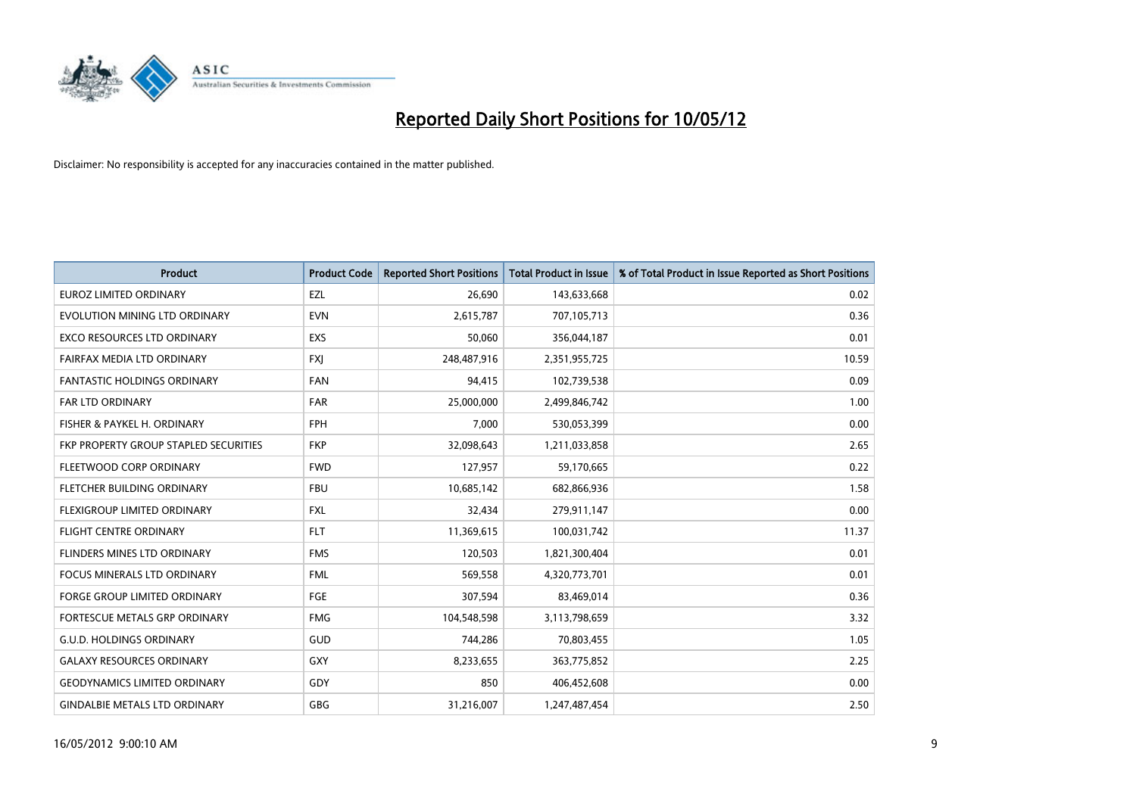

| <b>Product</b>                        | <b>Product Code</b> | <b>Reported Short Positions</b> | <b>Total Product in Issue</b> | % of Total Product in Issue Reported as Short Positions |
|---------------------------------------|---------------------|---------------------------------|-------------------------------|---------------------------------------------------------|
| <b>EUROZ LIMITED ORDINARY</b>         | EZL                 | 26,690                          | 143,633,668                   | 0.02                                                    |
| EVOLUTION MINING LTD ORDINARY         | <b>EVN</b>          | 2,615,787                       | 707,105,713                   | 0.36                                                    |
| EXCO RESOURCES LTD ORDINARY           | EXS                 | 50,060                          | 356,044,187                   | 0.01                                                    |
| FAIRFAX MEDIA LTD ORDINARY            | <b>FXI</b>          | 248,487,916                     | 2,351,955,725                 | 10.59                                                   |
| <b>FANTASTIC HOLDINGS ORDINARY</b>    | <b>FAN</b>          | 94,415                          | 102,739,538                   | 0.09                                                    |
| FAR LTD ORDINARY                      | FAR                 | 25,000,000                      | 2,499,846,742                 | 1.00                                                    |
| FISHER & PAYKEL H. ORDINARY           | <b>FPH</b>          | 7,000                           | 530,053,399                   | 0.00                                                    |
| FKP PROPERTY GROUP STAPLED SECURITIES | <b>FKP</b>          | 32,098,643                      | 1,211,033,858                 | 2.65                                                    |
| FLEETWOOD CORP ORDINARY               | <b>FWD</b>          | 127,957                         | 59,170,665                    | 0.22                                                    |
| FLETCHER BUILDING ORDINARY            | <b>FBU</b>          | 10,685,142                      | 682,866,936                   | 1.58                                                    |
| FLEXIGROUP LIMITED ORDINARY           | <b>FXL</b>          | 32,434                          | 279,911,147                   | 0.00                                                    |
| FLIGHT CENTRE ORDINARY                | <b>FLT</b>          | 11,369,615                      | 100,031,742                   | 11.37                                                   |
| FLINDERS MINES LTD ORDINARY           | <b>FMS</b>          | 120,503                         | 1,821,300,404                 | 0.01                                                    |
| <b>FOCUS MINERALS LTD ORDINARY</b>    | <b>FML</b>          | 569,558                         | 4,320,773,701                 | 0.01                                                    |
| <b>FORGE GROUP LIMITED ORDINARY</b>   | FGE                 | 307,594                         | 83,469,014                    | 0.36                                                    |
| FORTESCUE METALS GRP ORDINARY         | <b>FMG</b>          | 104,548,598                     | 3,113,798,659                 | 3.32                                                    |
| <b>G.U.D. HOLDINGS ORDINARY</b>       | GUD                 | 744,286                         | 70,803,455                    | 1.05                                                    |
| <b>GALAXY RESOURCES ORDINARY</b>      | GXY                 | 8,233,655                       | 363,775,852                   | 2.25                                                    |
| <b>GEODYNAMICS LIMITED ORDINARY</b>   | GDY                 | 850                             | 406,452,608                   | 0.00                                                    |
| <b>GINDALBIE METALS LTD ORDINARY</b>  | GBG                 | 31,216,007                      | 1,247,487,454                 | 2.50                                                    |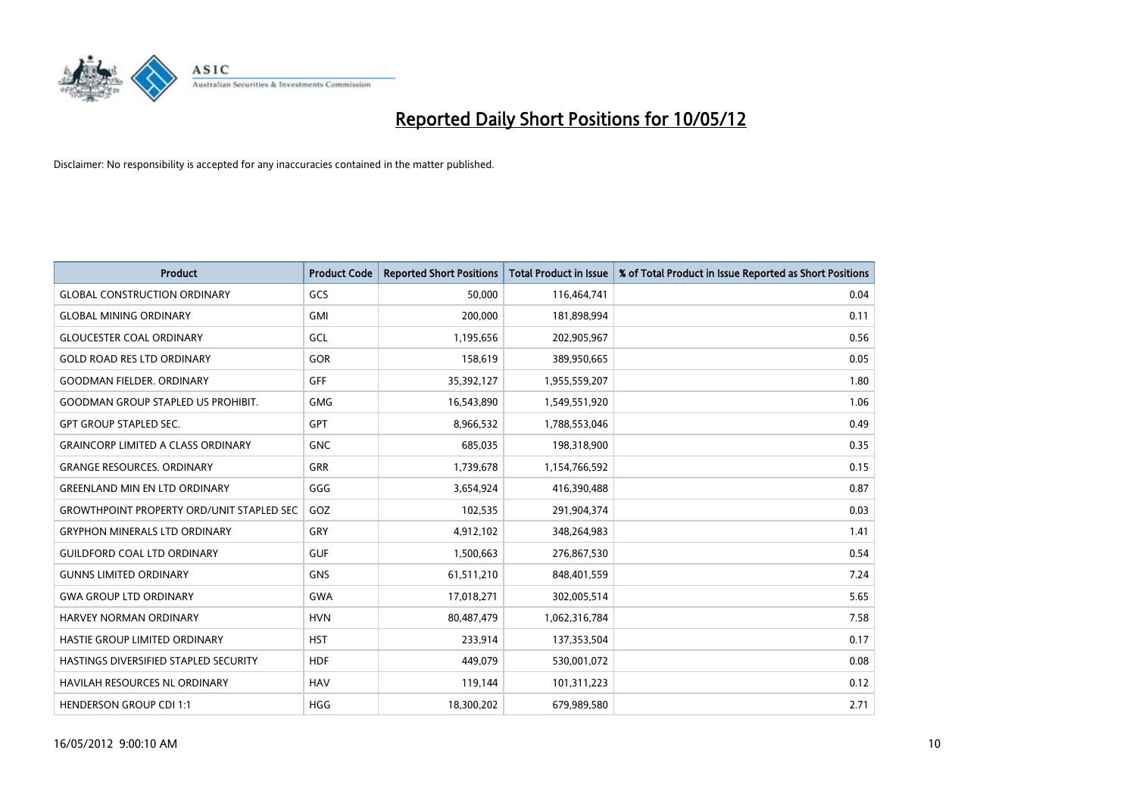

| <b>Product</b>                                   | <b>Product Code</b> | <b>Reported Short Positions</b> | <b>Total Product in Issue</b> | % of Total Product in Issue Reported as Short Positions |
|--------------------------------------------------|---------------------|---------------------------------|-------------------------------|---------------------------------------------------------|
| <b>GLOBAL CONSTRUCTION ORDINARY</b>              | GCS                 | 50,000                          | 116,464,741                   | 0.04                                                    |
| <b>GLOBAL MINING ORDINARY</b>                    | <b>GMI</b>          | 200,000                         | 181,898,994                   | 0.11                                                    |
| <b>GLOUCESTER COAL ORDINARY</b>                  | GCL                 | 1,195,656                       | 202,905,967                   | 0.56                                                    |
| <b>GOLD ROAD RES LTD ORDINARY</b>                | <b>GOR</b>          | 158,619                         | 389,950,665                   | 0.05                                                    |
| <b>GOODMAN FIELDER, ORDINARY</b>                 | <b>GFF</b>          | 35,392,127                      | 1,955,559,207                 | 1.80                                                    |
| <b>GOODMAN GROUP STAPLED US PROHIBIT.</b>        | <b>GMG</b>          | 16,543,890                      | 1,549,551,920                 | 1.06                                                    |
| <b>GPT GROUP STAPLED SEC.</b>                    | <b>GPT</b>          | 8,966,532                       | 1,788,553,046                 | 0.49                                                    |
| <b>GRAINCORP LIMITED A CLASS ORDINARY</b>        | <b>GNC</b>          | 685,035                         | 198,318,900                   | 0.35                                                    |
| <b>GRANGE RESOURCES, ORDINARY</b>                | <b>GRR</b>          | 1,739,678                       | 1,154,766,592                 | 0.15                                                    |
| <b>GREENLAND MIN EN LTD ORDINARY</b>             | GGG                 | 3,654,924                       | 416,390,488                   | 0.87                                                    |
| <b>GROWTHPOINT PROPERTY ORD/UNIT STAPLED SEC</b> | GOZ                 | 102,535                         | 291,904,374                   | 0.03                                                    |
| <b>GRYPHON MINERALS LTD ORDINARY</b>             | GRY                 | 4,912,102                       | 348,264,983                   | 1.41                                                    |
| <b>GUILDFORD COAL LTD ORDINARY</b>               | <b>GUF</b>          | 1,500,663                       | 276,867,530                   | 0.54                                                    |
| <b>GUNNS LIMITED ORDINARY</b>                    | <b>GNS</b>          | 61,511,210                      | 848,401,559                   | 7.24                                                    |
| <b>GWA GROUP LTD ORDINARY</b>                    | <b>GWA</b>          | 17,018,271                      | 302,005,514                   | 5.65                                                    |
| HARVEY NORMAN ORDINARY                           | <b>HVN</b>          | 80,487,479                      | 1,062,316,784                 | 7.58                                                    |
| HASTIE GROUP LIMITED ORDINARY                    | <b>HST</b>          | 233,914                         | 137,353,504                   | 0.17                                                    |
| HASTINGS DIVERSIFIED STAPLED SECURITY            | <b>HDF</b>          | 449,079                         | 530,001,072                   | 0.08                                                    |
| HAVILAH RESOURCES NL ORDINARY                    | <b>HAV</b>          | 119,144                         | 101,311,223                   | 0.12                                                    |
| <b>HENDERSON GROUP CDI 1:1</b>                   | <b>HGG</b>          | 18,300,202                      | 679,989,580                   | 2.71                                                    |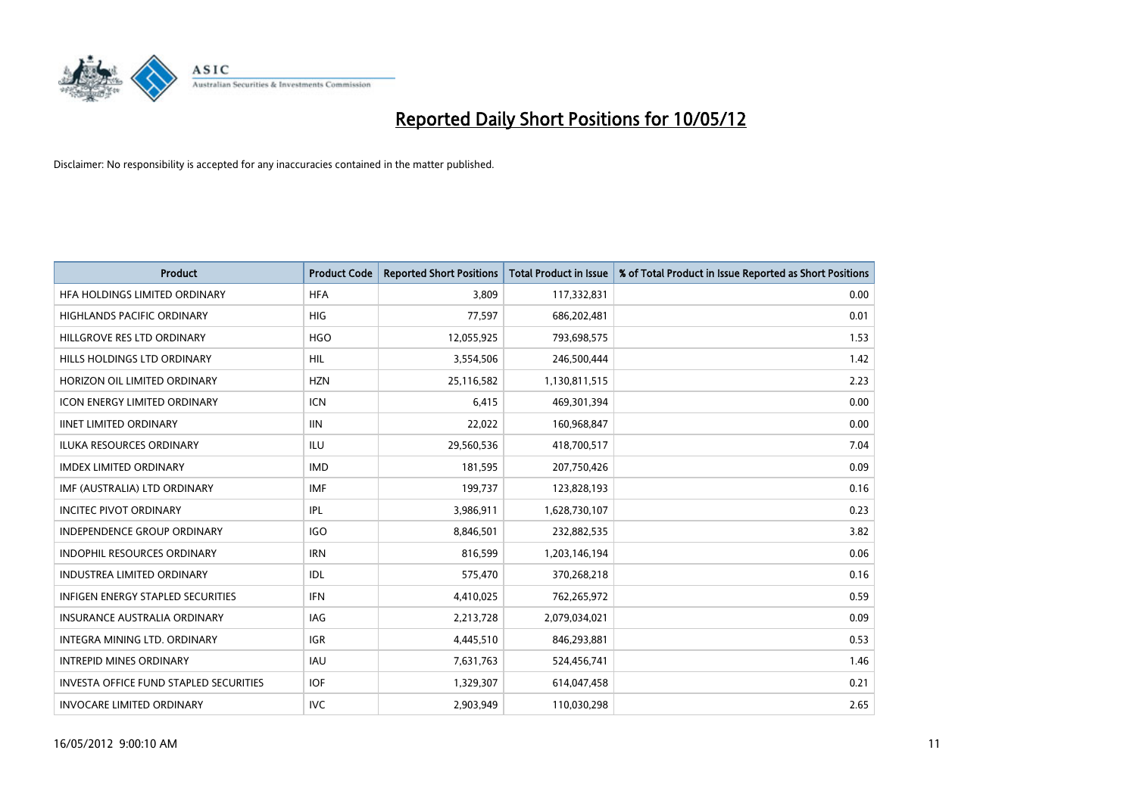

| <b>Product</b>                                | <b>Product Code</b> | <b>Reported Short Positions</b> | <b>Total Product in Issue</b> | % of Total Product in Issue Reported as Short Positions |
|-----------------------------------------------|---------------------|---------------------------------|-------------------------------|---------------------------------------------------------|
| HFA HOLDINGS LIMITED ORDINARY                 | <b>HFA</b>          | 3.809                           | 117,332,831                   | 0.00                                                    |
| HIGHLANDS PACIFIC ORDINARY                    | <b>HIG</b>          | 77,597                          | 686,202,481                   | 0.01                                                    |
| HILLGROVE RES LTD ORDINARY                    | <b>HGO</b>          | 12,055,925                      | 793,698,575                   | 1.53                                                    |
| HILLS HOLDINGS LTD ORDINARY                   | <b>HIL</b>          | 3,554,506                       | 246,500,444                   | 1.42                                                    |
| HORIZON OIL LIMITED ORDINARY                  | <b>HZN</b>          | 25,116,582                      | 1,130,811,515                 | 2.23                                                    |
| <b>ICON ENERGY LIMITED ORDINARY</b>           | <b>ICN</b>          | 6,415                           | 469,301,394                   | 0.00                                                    |
| <b>IINET LIMITED ORDINARY</b>                 | <b>IIN</b>          | 22,022                          | 160,968,847                   | 0.00                                                    |
| ILUKA RESOURCES ORDINARY                      | ILU                 | 29,560,536                      | 418,700,517                   | 7.04                                                    |
| <b>IMDEX LIMITED ORDINARY</b>                 | <b>IMD</b>          | 181,595                         | 207,750,426                   | 0.09                                                    |
| IMF (AUSTRALIA) LTD ORDINARY                  | <b>IMF</b>          | 199,737                         | 123,828,193                   | 0.16                                                    |
| <b>INCITEC PIVOT ORDINARY</b>                 | <b>IPL</b>          | 3,986,911                       | 1,628,730,107                 | 0.23                                                    |
| <b>INDEPENDENCE GROUP ORDINARY</b>            | <b>IGO</b>          | 8,846,501                       | 232,882,535                   | 3.82                                                    |
| INDOPHIL RESOURCES ORDINARY                   | <b>IRN</b>          | 816,599                         | 1,203,146,194                 | 0.06                                                    |
| <b>INDUSTREA LIMITED ORDINARY</b>             | IDL                 | 575,470                         | 370,268,218                   | 0.16                                                    |
| <b>INFIGEN ENERGY STAPLED SECURITIES</b>      | <b>IFN</b>          | 4,410,025                       | 762,265,972                   | 0.59                                                    |
| <b>INSURANCE AUSTRALIA ORDINARY</b>           | IAG                 | 2,213,728                       | 2,079,034,021                 | 0.09                                                    |
| INTEGRA MINING LTD. ORDINARY                  | <b>IGR</b>          | 4,445,510                       | 846,293,881                   | 0.53                                                    |
| <b>INTREPID MINES ORDINARY</b>                | <b>IAU</b>          | 7,631,763                       | 524,456,741                   | 1.46                                                    |
| <b>INVESTA OFFICE FUND STAPLED SECURITIES</b> | <b>IOF</b>          | 1,329,307                       | 614,047,458                   | 0.21                                                    |
| <b>INVOCARE LIMITED ORDINARY</b>              | <b>IVC</b>          | 2,903,949                       | 110,030,298                   | 2.65                                                    |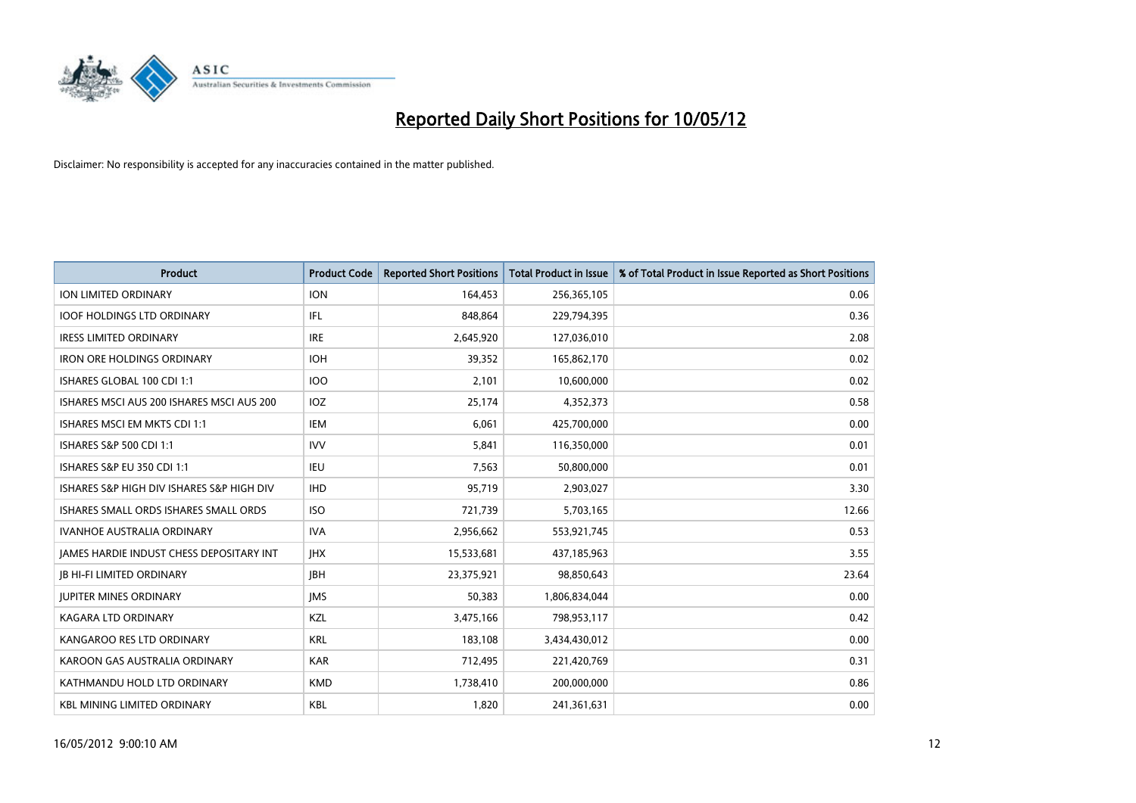

| <b>Product</b>                            | <b>Product Code</b> | <b>Reported Short Positions</b> | <b>Total Product in Issue</b> | % of Total Product in Issue Reported as Short Positions |
|-------------------------------------------|---------------------|---------------------------------|-------------------------------|---------------------------------------------------------|
| <b>ION LIMITED ORDINARY</b>               | <b>ION</b>          | 164,453                         | 256,365,105                   | 0.06                                                    |
| <b>IOOF HOLDINGS LTD ORDINARY</b>         | IFL                 | 848,864                         | 229,794,395                   | 0.36                                                    |
| <b>IRESS LIMITED ORDINARY</b>             | <b>IRE</b>          | 2,645,920                       | 127,036,010                   | 2.08                                                    |
| <b>IRON ORE HOLDINGS ORDINARY</b>         | <b>IOH</b>          | 39,352                          | 165,862,170                   | 0.02                                                    |
| ISHARES GLOBAL 100 CDI 1:1                | <b>IOO</b>          | 2,101                           | 10,600,000                    | 0.02                                                    |
| ISHARES MSCI AUS 200 ISHARES MSCI AUS 200 | <b>IOZ</b>          | 25,174                          | 4,352,373                     | 0.58                                                    |
| ISHARES MSCI EM MKTS CDI 1:1              | IEM                 | 6,061                           | 425,700,000                   | 0.00                                                    |
| ISHARES S&P 500 CDI 1:1                   | <b>IVV</b>          | 5,841                           | 116,350,000                   | 0.01                                                    |
| <b>ISHARES S&amp;P EU 350 CDI 1:1</b>     | <b>IEU</b>          | 7,563                           | 50,800,000                    | 0.01                                                    |
| ISHARES S&P HIGH DIV ISHARES S&P HIGH DIV | <b>IHD</b>          | 95,719                          | 2,903,027                     | 3.30                                                    |
| ISHARES SMALL ORDS ISHARES SMALL ORDS     | <b>ISO</b>          | 721,739                         | 5,703,165                     | 12.66                                                   |
| <b>IVANHOE AUSTRALIA ORDINARY</b>         | <b>IVA</b>          | 2,956,662                       | 553,921,745                   | 0.53                                                    |
| JAMES HARDIE INDUST CHESS DEPOSITARY INT  | <b>IHX</b>          | 15,533,681                      | 437,185,963                   | 3.55                                                    |
| <b>JB HI-FI LIMITED ORDINARY</b>          | <b>IBH</b>          | 23,375,921                      | 98,850,643                    | 23.64                                                   |
| <b>JUPITER MINES ORDINARY</b>             | <b>IMS</b>          | 50,383                          | 1,806,834,044                 | 0.00                                                    |
| KAGARA LTD ORDINARY                       | KZL                 | 3,475,166                       | 798,953,117                   | 0.42                                                    |
| KANGAROO RES LTD ORDINARY                 | <b>KRL</b>          | 183,108                         | 3,434,430,012                 | 0.00                                                    |
| KAROON GAS AUSTRALIA ORDINARY             | <b>KAR</b>          | 712,495                         | 221,420,769                   | 0.31                                                    |
| KATHMANDU HOLD LTD ORDINARY               | <b>KMD</b>          | 1,738,410                       | 200,000,000                   | 0.86                                                    |
| <b>KBL MINING LIMITED ORDINARY</b>        | <b>KBL</b>          | 1,820                           | 241,361,631                   | 0.00                                                    |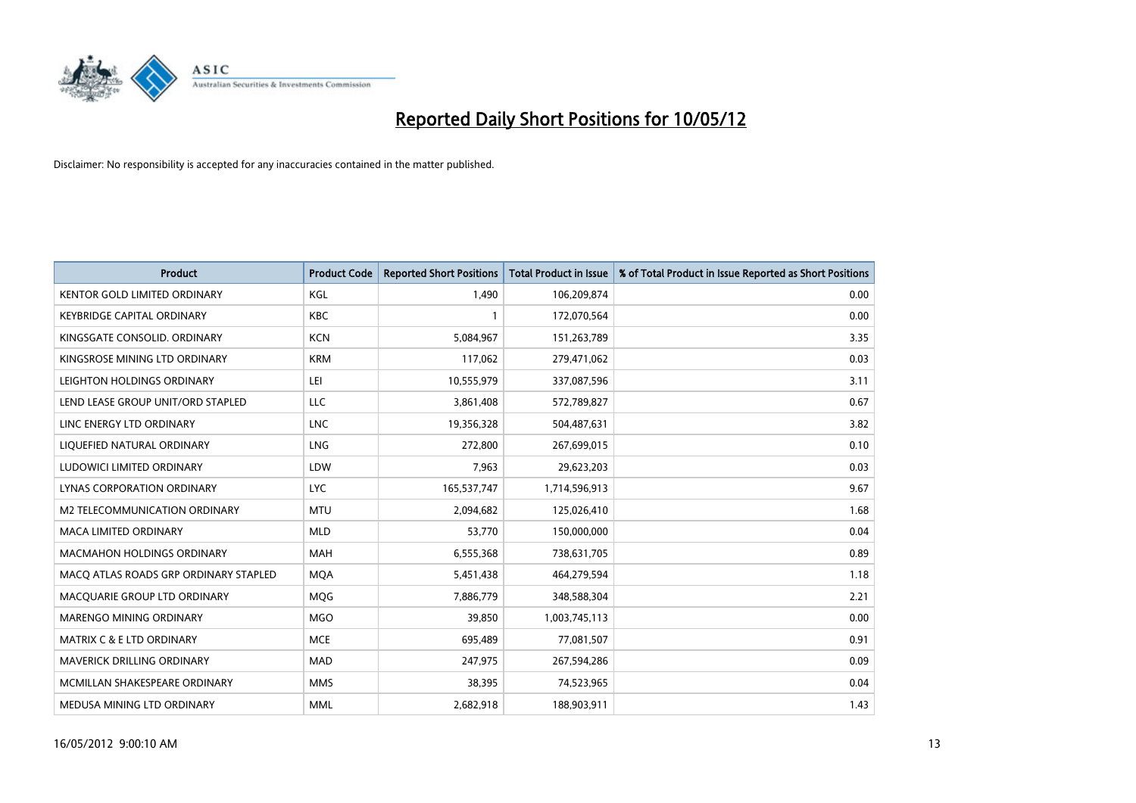

| <b>Product</b>                        | <b>Product Code</b> | <b>Reported Short Positions</b> | <b>Total Product in Issue</b> | % of Total Product in Issue Reported as Short Positions |
|---------------------------------------|---------------------|---------------------------------|-------------------------------|---------------------------------------------------------|
| <b>KENTOR GOLD LIMITED ORDINARY</b>   | KGL                 | 1.490                           | 106,209,874                   | 0.00                                                    |
| <b>KEYBRIDGE CAPITAL ORDINARY</b>     | <b>KBC</b>          |                                 | 172,070,564                   | 0.00                                                    |
| KINGSGATE CONSOLID. ORDINARY          | <b>KCN</b>          | 5,084,967                       | 151,263,789                   | 3.35                                                    |
| KINGSROSE MINING LTD ORDINARY         | <b>KRM</b>          | 117,062                         | 279,471,062                   | 0.03                                                    |
| LEIGHTON HOLDINGS ORDINARY            | LEI                 | 10,555,979                      | 337,087,596                   | 3.11                                                    |
| LEND LEASE GROUP UNIT/ORD STAPLED     | LLC                 | 3,861,408                       | 572,789,827                   | 0.67                                                    |
| LINC ENERGY LTD ORDINARY              | <b>LNC</b>          | 19,356,328                      | 504,487,631                   | 3.82                                                    |
| LIQUEFIED NATURAL ORDINARY            | <b>LNG</b>          | 272,800                         | 267,699,015                   | 0.10                                                    |
| LUDOWICI LIMITED ORDINARY             | LDW                 | 7,963                           | 29,623,203                    | 0.03                                                    |
| <b>LYNAS CORPORATION ORDINARY</b>     | <b>LYC</b>          | 165,537,747                     | 1,714,596,913                 | 9.67                                                    |
| M2 TELECOMMUNICATION ORDINARY         | <b>MTU</b>          | 2,094,682                       | 125,026,410                   | 1.68                                                    |
| <b>MACA LIMITED ORDINARY</b>          | <b>MLD</b>          | 53,770                          | 150,000,000                   | 0.04                                                    |
| <b>MACMAHON HOLDINGS ORDINARY</b>     | <b>MAH</b>          | 6,555,368                       | 738,631,705                   | 0.89                                                    |
| MACO ATLAS ROADS GRP ORDINARY STAPLED | <b>MQA</b>          | 5,451,438                       | 464,279,594                   | 1.18                                                    |
| MACQUARIE GROUP LTD ORDINARY          | <b>MQG</b>          | 7,886,779                       | 348,588,304                   | 2.21                                                    |
| MARENGO MINING ORDINARY               | <b>MGO</b>          | 39,850                          | 1,003,745,113                 | 0.00                                                    |
| MATRIX C & E LTD ORDINARY             | <b>MCE</b>          | 695,489                         | 77,081,507                    | 0.91                                                    |
| <b>MAVERICK DRILLING ORDINARY</b>     | <b>MAD</b>          | 247,975                         | 267,594,286                   | 0.09                                                    |
| MCMILLAN SHAKESPEARE ORDINARY         | <b>MMS</b>          | 38,395                          | 74,523,965                    | 0.04                                                    |
| MEDUSA MINING LTD ORDINARY            | <b>MML</b>          | 2,682,918                       | 188,903,911                   | 1.43                                                    |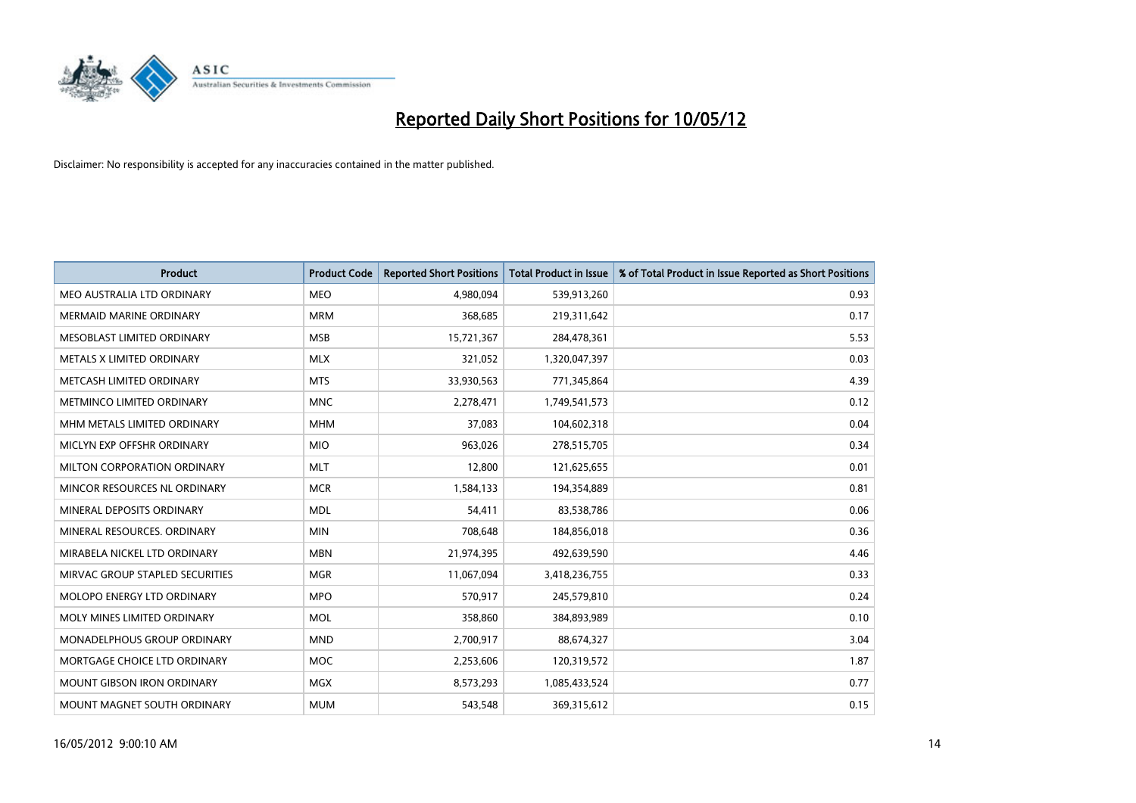

| <b>Product</b>                    | <b>Product Code</b> | <b>Reported Short Positions</b> | <b>Total Product in Issue</b> | % of Total Product in Issue Reported as Short Positions |
|-----------------------------------|---------------------|---------------------------------|-------------------------------|---------------------------------------------------------|
| MEO AUSTRALIA LTD ORDINARY        | <b>MEO</b>          | 4,980,094                       | 539,913,260                   | 0.93                                                    |
| MERMAID MARINE ORDINARY           | <b>MRM</b>          | 368,685                         | 219,311,642                   | 0.17                                                    |
| MESOBLAST LIMITED ORDINARY        | <b>MSB</b>          | 15,721,367                      | 284,478,361                   | 5.53                                                    |
| METALS X LIMITED ORDINARY         | <b>MLX</b>          | 321,052                         | 1,320,047,397                 | 0.03                                                    |
| METCASH LIMITED ORDINARY          | <b>MTS</b>          | 33,930,563                      | 771,345,864                   | 4.39                                                    |
| METMINCO LIMITED ORDINARY         | <b>MNC</b>          | 2,278,471                       | 1,749,541,573                 | 0.12                                                    |
| MHM METALS LIMITED ORDINARY       | <b>MHM</b>          | 37,083                          | 104,602,318                   | 0.04                                                    |
| MICLYN EXP OFFSHR ORDINARY        | <b>MIO</b>          | 963,026                         | 278,515,705                   | 0.34                                                    |
| MILTON CORPORATION ORDINARY       | <b>MLT</b>          | 12,800                          | 121,625,655                   | 0.01                                                    |
| MINCOR RESOURCES NL ORDINARY      | <b>MCR</b>          | 1,584,133                       | 194,354,889                   | 0.81                                                    |
| MINERAL DEPOSITS ORDINARY         | <b>MDL</b>          | 54,411                          | 83,538,786                    | 0.06                                                    |
| MINERAL RESOURCES, ORDINARY       | <b>MIN</b>          | 708,648                         | 184,856,018                   | 0.36                                                    |
| MIRABELA NICKEL LTD ORDINARY      | <b>MBN</b>          | 21,974,395                      | 492,639,590                   | 4.46                                                    |
| MIRVAC GROUP STAPLED SECURITIES   | <b>MGR</b>          | 11,067,094                      | 3,418,236,755                 | 0.33                                                    |
| MOLOPO ENERGY LTD ORDINARY        | <b>MPO</b>          | 570,917                         | 245,579,810                   | 0.24                                                    |
| MOLY MINES LIMITED ORDINARY       | <b>MOL</b>          | 358,860                         | 384,893,989                   | 0.10                                                    |
| MONADELPHOUS GROUP ORDINARY       | <b>MND</b>          | 2,700,917                       | 88,674,327                    | 3.04                                                    |
| MORTGAGE CHOICE LTD ORDINARY      | <b>MOC</b>          | 2,253,606                       | 120,319,572                   | 1.87                                                    |
| <b>MOUNT GIBSON IRON ORDINARY</b> | <b>MGX</b>          | 8,573,293                       | 1,085,433,524                 | 0.77                                                    |
| MOUNT MAGNET SOUTH ORDINARY       | <b>MUM</b>          | 543,548                         | 369,315,612                   | 0.15                                                    |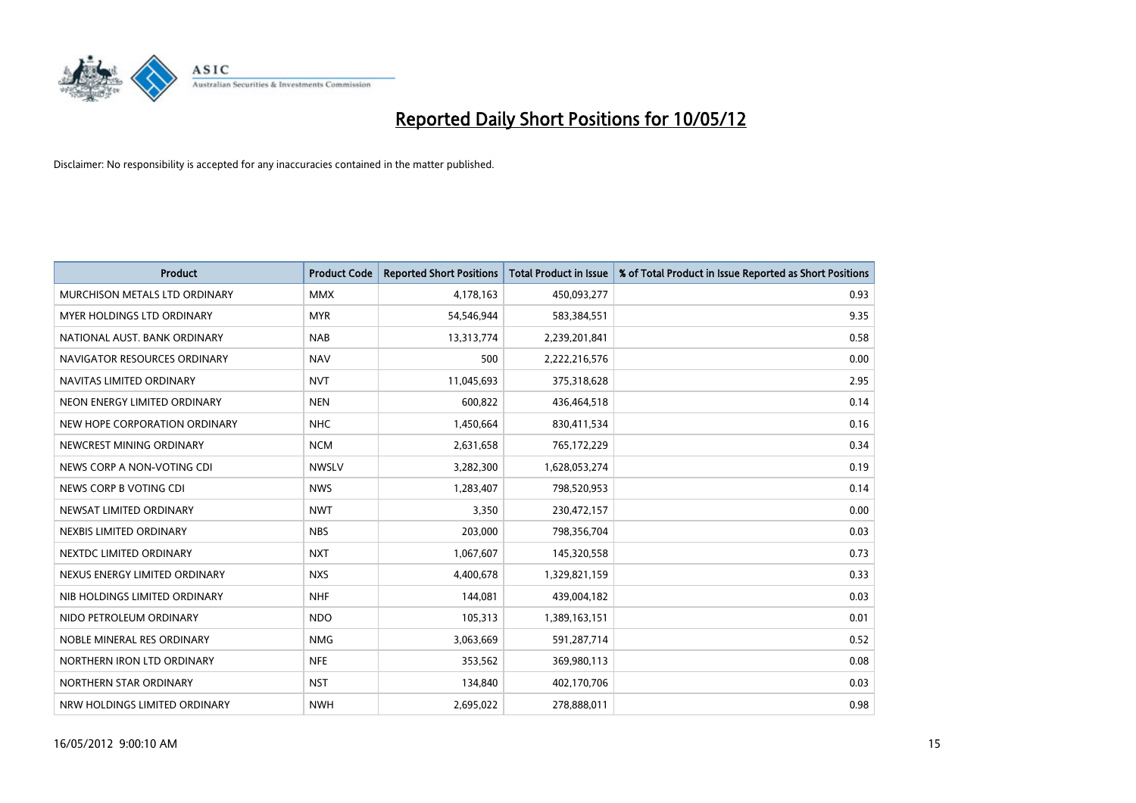

| <b>Product</b>                | <b>Product Code</b> | <b>Reported Short Positions</b> | <b>Total Product in Issue</b> | % of Total Product in Issue Reported as Short Positions |
|-------------------------------|---------------------|---------------------------------|-------------------------------|---------------------------------------------------------|
| MURCHISON METALS LTD ORDINARY | <b>MMX</b>          | 4,178,163                       | 450,093,277                   | 0.93                                                    |
| MYER HOLDINGS LTD ORDINARY    | <b>MYR</b>          | 54,546,944                      | 583,384,551                   | 9.35                                                    |
| NATIONAL AUST, BANK ORDINARY  | <b>NAB</b>          | 13,313,774                      | 2,239,201,841                 | 0.58                                                    |
| NAVIGATOR RESOURCES ORDINARY  | <b>NAV</b>          | 500                             | 2,222,216,576                 | 0.00                                                    |
| NAVITAS LIMITED ORDINARY      | <b>NVT</b>          | 11,045,693                      | 375,318,628                   | 2.95                                                    |
| NEON ENERGY LIMITED ORDINARY  | <b>NEN</b>          | 600,822                         | 436,464,518                   | 0.14                                                    |
| NEW HOPE CORPORATION ORDINARY | <b>NHC</b>          | 1,450,664                       | 830,411,534                   | 0.16                                                    |
| NEWCREST MINING ORDINARY      | <b>NCM</b>          | 2,631,658                       | 765,172,229                   | 0.34                                                    |
| NEWS CORP A NON-VOTING CDI    | <b>NWSLV</b>        | 3,282,300                       | 1,628,053,274                 | 0.19                                                    |
| NEWS CORP B VOTING CDI        | <b>NWS</b>          | 1,283,407                       | 798,520,953                   | 0.14                                                    |
| NEWSAT LIMITED ORDINARY       | <b>NWT</b>          | 3,350                           | 230,472,157                   | 0.00                                                    |
| NEXBIS LIMITED ORDINARY       | <b>NBS</b>          | 203,000                         | 798,356,704                   | 0.03                                                    |
| NEXTDC LIMITED ORDINARY       | <b>NXT</b>          | 1,067,607                       | 145,320,558                   | 0.73                                                    |
| NEXUS ENERGY LIMITED ORDINARY | <b>NXS</b>          | 4,400,678                       | 1,329,821,159                 | 0.33                                                    |
| NIB HOLDINGS LIMITED ORDINARY | <b>NHF</b>          | 144,081                         | 439,004,182                   | 0.03                                                    |
| NIDO PETROLEUM ORDINARY       | <b>NDO</b>          | 105,313                         | 1,389,163,151                 | 0.01                                                    |
| NOBLE MINERAL RES ORDINARY    | <b>NMG</b>          | 3,063,669                       | 591,287,714                   | 0.52                                                    |
| NORTHERN IRON LTD ORDINARY    | <b>NFE</b>          | 353,562                         | 369,980,113                   | 0.08                                                    |
| NORTHERN STAR ORDINARY        | <b>NST</b>          | 134,840                         | 402,170,706                   | 0.03                                                    |
| NRW HOLDINGS LIMITED ORDINARY | <b>NWH</b>          | 2,695,022                       | 278,888,011                   | 0.98                                                    |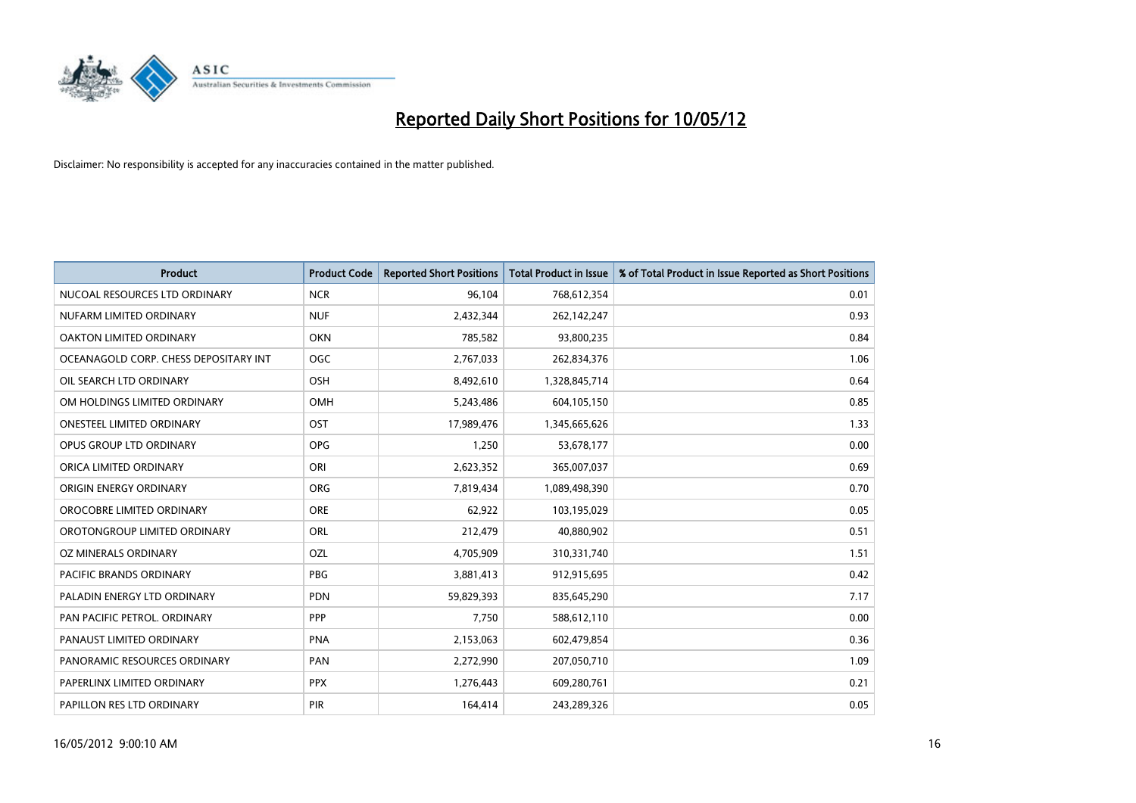

| <b>Product</b>                        | <b>Product Code</b> | <b>Reported Short Positions</b> | <b>Total Product in Issue</b> | % of Total Product in Issue Reported as Short Positions |
|---------------------------------------|---------------------|---------------------------------|-------------------------------|---------------------------------------------------------|
| NUCOAL RESOURCES LTD ORDINARY         | <b>NCR</b>          | 96,104                          | 768,612,354                   | 0.01                                                    |
| NUFARM LIMITED ORDINARY               | <b>NUF</b>          | 2,432,344                       | 262,142,247                   | 0.93                                                    |
| OAKTON LIMITED ORDINARY               | <b>OKN</b>          | 785,582                         | 93,800,235                    | 0.84                                                    |
| OCEANAGOLD CORP. CHESS DEPOSITARY INT | <b>OGC</b>          | 2,767,033                       | 262,834,376                   | 1.06                                                    |
| OIL SEARCH LTD ORDINARY               | OSH                 | 8,492,610                       | 1,328,845,714                 | 0.64                                                    |
| OM HOLDINGS LIMITED ORDINARY          | <b>OMH</b>          | 5,243,486                       | 604,105,150                   | 0.85                                                    |
| <b>ONESTEEL LIMITED ORDINARY</b>      | OST                 | 17,989,476                      | 1,345,665,626                 | 1.33                                                    |
| OPUS GROUP LTD ORDINARY               | <b>OPG</b>          | 1,250                           | 53,678,177                    | 0.00                                                    |
| ORICA LIMITED ORDINARY                | ORI                 | 2,623,352                       | 365,007,037                   | 0.69                                                    |
| ORIGIN ENERGY ORDINARY                | <b>ORG</b>          | 7,819,434                       | 1,089,498,390                 | 0.70                                                    |
| OROCOBRE LIMITED ORDINARY             | <b>ORE</b>          | 62,922                          | 103,195,029                   | 0.05                                                    |
| OROTONGROUP LIMITED ORDINARY          | <b>ORL</b>          | 212,479                         | 40,880,902                    | 0.51                                                    |
| OZ MINERALS ORDINARY                  | OZL                 | 4,705,909                       | 310,331,740                   | 1.51                                                    |
| <b>PACIFIC BRANDS ORDINARY</b>        | <b>PBG</b>          | 3,881,413                       | 912,915,695                   | 0.42                                                    |
| PALADIN ENERGY LTD ORDINARY           | <b>PDN</b>          | 59,829,393                      | 835,645,290                   | 7.17                                                    |
| PAN PACIFIC PETROL. ORDINARY          | <b>PPP</b>          | 7,750                           | 588,612,110                   | 0.00                                                    |
| PANAUST LIMITED ORDINARY              | <b>PNA</b>          | 2,153,063                       | 602,479,854                   | 0.36                                                    |
| PANORAMIC RESOURCES ORDINARY          | PAN                 | 2,272,990                       | 207,050,710                   | 1.09                                                    |
| PAPERLINX LIMITED ORDINARY            | <b>PPX</b>          | 1,276,443                       | 609,280,761                   | 0.21                                                    |
| PAPILLON RES LTD ORDINARY             | PIR                 | 164,414                         | 243,289,326                   | 0.05                                                    |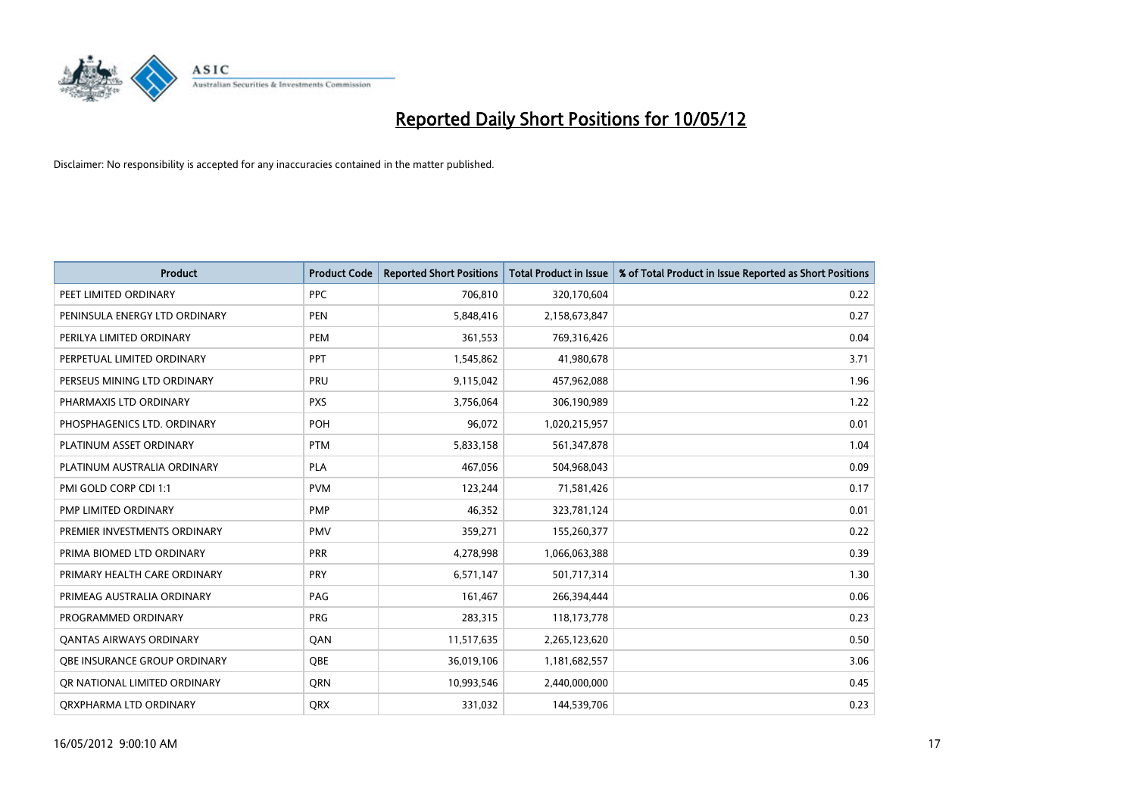

| <b>Product</b>                 | <b>Product Code</b> | <b>Reported Short Positions</b> | <b>Total Product in Issue</b> | % of Total Product in Issue Reported as Short Positions |
|--------------------------------|---------------------|---------------------------------|-------------------------------|---------------------------------------------------------|
| PEET LIMITED ORDINARY          | <b>PPC</b>          | 706,810                         | 320,170,604                   | 0.22                                                    |
| PENINSULA ENERGY LTD ORDINARY  | <b>PEN</b>          | 5,848,416                       | 2,158,673,847                 | 0.27                                                    |
| PERILYA LIMITED ORDINARY       | PEM                 | 361,553                         | 769,316,426                   | 0.04                                                    |
| PERPETUAL LIMITED ORDINARY     | <b>PPT</b>          | 1,545,862                       | 41,980,678                    | 3.71                                                    |
| PERSEUS MINING LTD ORDINARY    | PRU                 | 9,115,042                       | 457,962,088                   | 1.96                                                    |
| PHARMAXIS LTD ORDINARY         | <b>PXS</b>          | 3,756,064                       | 306,190,989                   | 1.22                                                    |
| PHOSPHAGENICS LTD. ORDINARY    | POH                 | 96,072                          | 1,020,215,957                 | 0.01                                                    |
| PLATINUM ASSET ORDINARY        | <b>PTM</b>          | 5,833,158                       | 561,347,878                   | 1.04                                                    |
| PLATINUM AUSTRALIA ORDINARY    | <b>PLA</b>          | 467,056                         | 504,968,043                   | 0.09                                                    |
| PMI GOLD CORP CDI 1:1          | <b>PVM</b>          | 123,244                         | 71,581,426                    | 0.17                                                    |
| PMP LIMITED ORDINARY           | <b>PMP</b>          | 46,352                          | 323,781,124                   | 0.01                                                    |
| PREMIER INVESTMENTS ORDINARY   | PMV                 | 359,271                         | 155,260,377                   | 0.22                                                    |
| PRIMA BIOMED LTD ORDINARY      | <b>PRR</b>          | 4,278,998                       | 1,066,063,388                 | 0.39                                                    |
| PRIMARY HEALTH CARE ORDINARY   | <b>PRY</b>          | 6,571,147                       | 501,717,314                   | 1.30                                                    |
| PRIMEAG AUSTRALIA ORDINARY     | PAG                 | 161,467                         | 266,394,444                   | 0.06                                                    |
| PROGRAMMED ORDINARY            | <b>PRG</b>          | 283,315                         | 118,173,778                   | 0.23                                                    |
| <b>QANTAS AIRWAYS ORDINARY</b> | QAN                 | 11,517,635                      | 2,265,123,620                 | 0.50                                                    |
| OBE INSURANCE GROUP ORDINARY   | <b>OBE</b>          | 36,019,106                      | 1,181,682,557                 | 3.06                                                    |
| OR NATIONAL LIMITED ORDINARY   | <b>ORN</b>          | 10,993,546                      | 2,440,000,000                 | 0.45                                                    |
| ORXPHARMA LTD ORDINARY         | QRX                 | 331,032                         | 144,539,706                   | 0.23                                                    |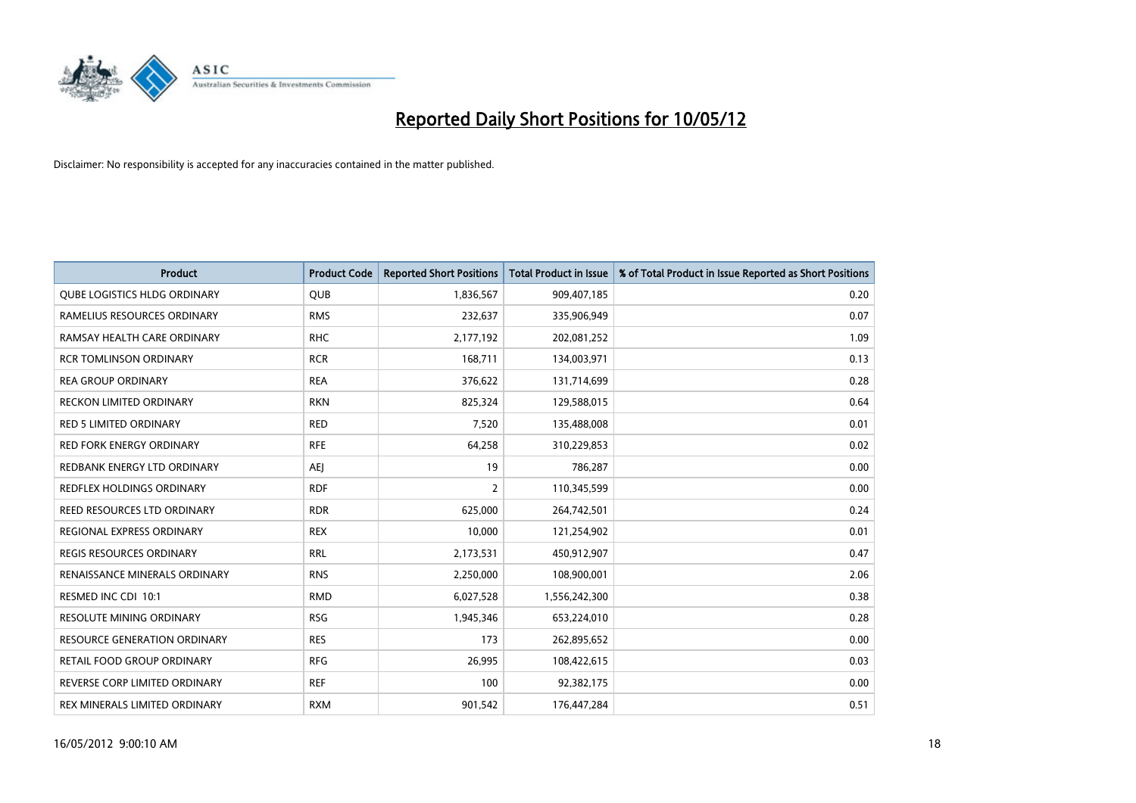

| <b>Product</b>                      | <b>Product Code</b> | <b>Reported Short Positions</b> | <b>Total Product in Issue</b> | % of Total Product in Issue Reported as Short Positions |
|-------------------------------------|---------------------|---------------------------------|-------------------------------|---------------------------------------------------------|
| QUBE LOGISTICS HLDG ORDINARY        | <b>QUB</b>          | 1,836,567                       | 909,407,185                   | 0.20                                                    |
| RAMELIUS RESOURCES ORDINARY         | <b>RMS</b>          | 232,637                         | 335,906,949                   | 0.07                                                    |
| RAMSAY HEALTH CARE ORDINARY         | <b>RHC</b>          | 2,177,192                       | 202,081,252                   | 1.09                                                    |
| <b>RCR TOMLINSON ORDINARY</b>       | <b>RCR</b>          | 168,711                         | 134,003,971                   | 0.13                                                    |
| <b>REA GROUP ORDINARY</b>           | <b>REA</b>          | 376,622                         | 131,714,699                   | 0.28                                                    |
| <b>RECKON LIMITED ORDINARY</b>      | <b>RKN</b>          | 825,324                         | 129,588,015                   | 0.64                                                    |
| <b>RED 5 LIMITED ORDINARY</b>       | <b>RED</b>          | 7,520                           | 135,488,008                   | 0.01                                                    |
| <b>RED FORK ENERGY ORDINARY</b>     | <b>RFE</b>          | 64,258                          | 310,229,853                   | 0.02                                                    |
| REDBANK ENERGY LTD ORDINARY         | <b>AEJ</b>          | 19                              | 786,287                       | 0.00                                                    |
| <b>REDFLEX HOLDINGS ORDINARY</b>    | <b>RDF</b>          | 2                               | 110,345,599                   | 0.00                                                    |
| REED RESOURCES LTD ORDINARY         | <b>RDR</b>          | 625,000                         | 264,742,501                   | 0.24                                                    |
| REGIONAL EXPRESS ORDINARY           | <b>REX</b>          | 10,000                          | 121,254,902                   | 0.01                                                    |
| REGIS RESOURCES ORDINARY            | <b>RRL</b>          | 2,173,531                       | 450,912,907                   | 0.47                                                    |
| RENAISSANCE MINERALS ORDINARY       | <b>RNS</b>          | 2,250,000                       | 108,900,001                   | 2.06                                                    |
| RESMED INC CDI 10:1                 | <b>RMD</b>          | 6,027,528                       | 1,556,242,300                 | 0.38                                                    |
| RESOLUTE MINING ORDINARY            | <b>RSG</b>          | 1,945,346                       | 653,224,010                   | 0.28                                                    |
| <b>RESOURCE GENERATION ORDINARY</b> | <b>RES</b>          | 173                             | 262,895,652                   | 0.00                                                    |
| <b>RETAIL FOOD GROUP ORDINARY</b>   | <b>RFG</b>          | 26,995                          | 108,422,615                   | 0.03                                                    |
| REVERSE CORP LIMITED ORDINARY       | <b>REF</b>          | 100                             | 92,382,175                    | 0.00                                                    |
| REX MINERALS LIMITED ORDINARY       | <b>RXM</b>          | 901,542                         | 176,447,284                   | 0.51                                                    |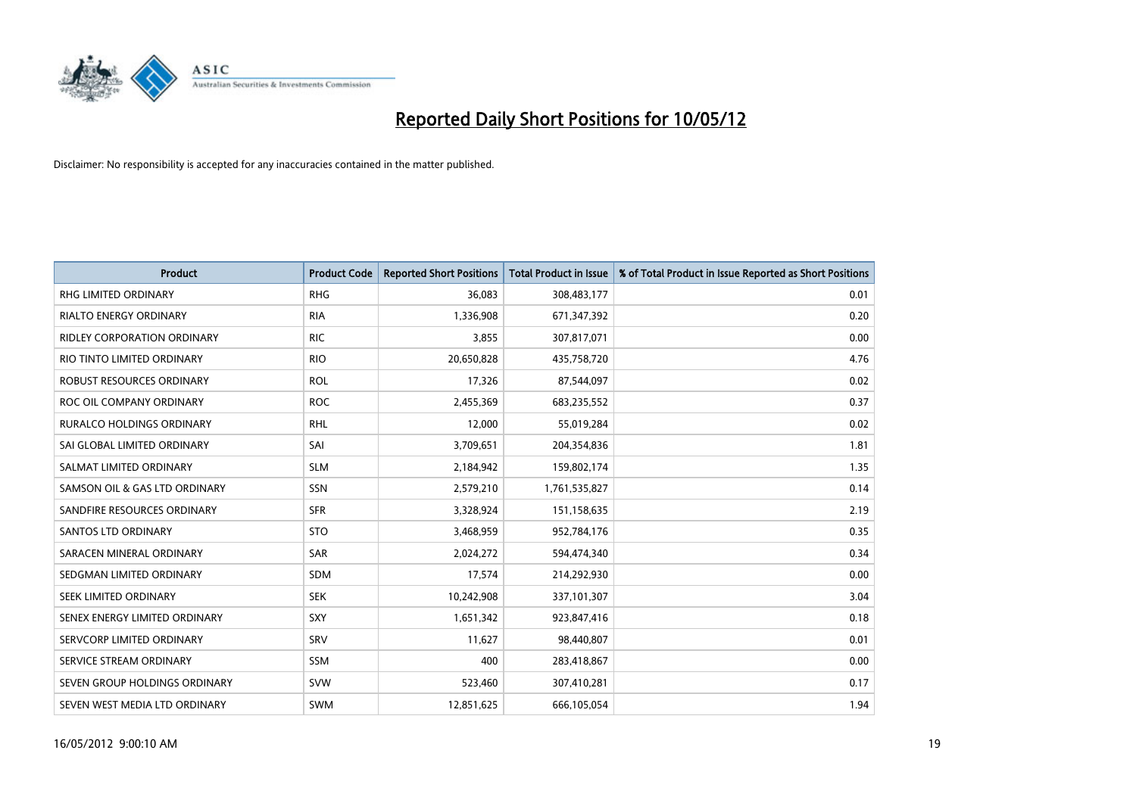

| <b>Product</b>                     | <b>Product Code</b> | <b>Reported Short Positions</b> | <b>Total Product in Issue</b> | % of Total Product in Issue Reported as Short Positions |
|------------------------------------|---------------------|---------------------------------|-------------------------------|---------------------------------------------------------|
| <b>RHG LIMITED ORDINARY</b>        | <b>RHG</b>          | 36,083                          | 308,483,177                   | 0.01                                                    |
| <b>RIALTO ENERGY ORDINARY</b>      | <b>RIA</b>          | 1,336,908                       | 671,347,392                   | 0.20                                                    |
| <b>RIDLEY CORPORATION ORDINARY</b> | <b>RIC</b>          | 3,855                           | 307,817,071                   | 0.00                                                    |
| RIO TINTO LIMITED ORDINARY         | <b>RIO</b>          | 20,650,828                      | 435,758,720                   | 4.76                                                    |
| ROBUST RESOURCES ORDINARY          | <b>ROL</b>          | 17,326                          | 87,544,097                    | 0.02                                                    |
| ROC OIL COMPANY ORDINARY           | <b>ROC</b>          | 2,455,369                       | 683,235,552                   | 0.37                                                    |
| <b>RURALCO HOLDINGS ORDINARY</b>   | <b>RHL</b>          | 12,000                          | 55,019,284                    | 0.02                                                    |
| SAI GLOBAL LIMITED ORDINARY        | SAI                 | 3,709,651                       | 204,354,836                   | 1.81                                                    |
| SALMAT LIMITED ORDINARY            | <b>SLM</b>          | 2,184,942                       | 159,802,174                   | 1.35                                                    |
| SAMSON OIL & GAS LTD ORDINARY      | SSN                 | 2,579,210                       | 1,761,535,827                 | 0.14                                                    |
| SANDFIRE RESOURCES ORDINARY        | <b>SFR</b>          | 3,328,924                       | 151,158,635                   | 2.19                                                    |
| <b>SANTOS LTD ORDINARY</b>         | <b>STO</b>          | 3,468,959                       | 952,784,176                   | 0.35                                                    |
| SARACEN MINERAL ORDINARY           | SAR                 | 2,024,272                       | 594,474,340                   | 0.34                                                    |
| SEDGMAN LIMITED ORDINARY           | <b>SDM</b>          | 17,574                          | 214,292,930                   | 0.00                                                    |
| SEEK LIMITED ORDINARY              | <b>SEK</b>          | 10,242,908                      | 337,101,307                   | 3.04                                                    |
| SENEX ENERGY LIMITED ORDINARY      | <b>SXY</b>          | 1,651,342                       | 923,847,416                   | 0.18                                                    |
| SERVCORP LIMITED ORDINARY          | SRV                 | 11,627                          | 98,440,807                    | 0.01                                                    |
| SERVICE STREAM ORDINARY            | <b>SSM</b>          | 400                             | 283,418,867                   | 0.00                                                    |
| SEVEN GROUP HOLDINGS ORDINARY      | <b>SVW</b>          | 523,460                         | 307,410,281                   | 0.17                                                    |
| SEVEN WEST MEDIA LTD ORDINARY      | SWM                 | 12,851,625                      | 666,105,054                   | 1.94                                                    |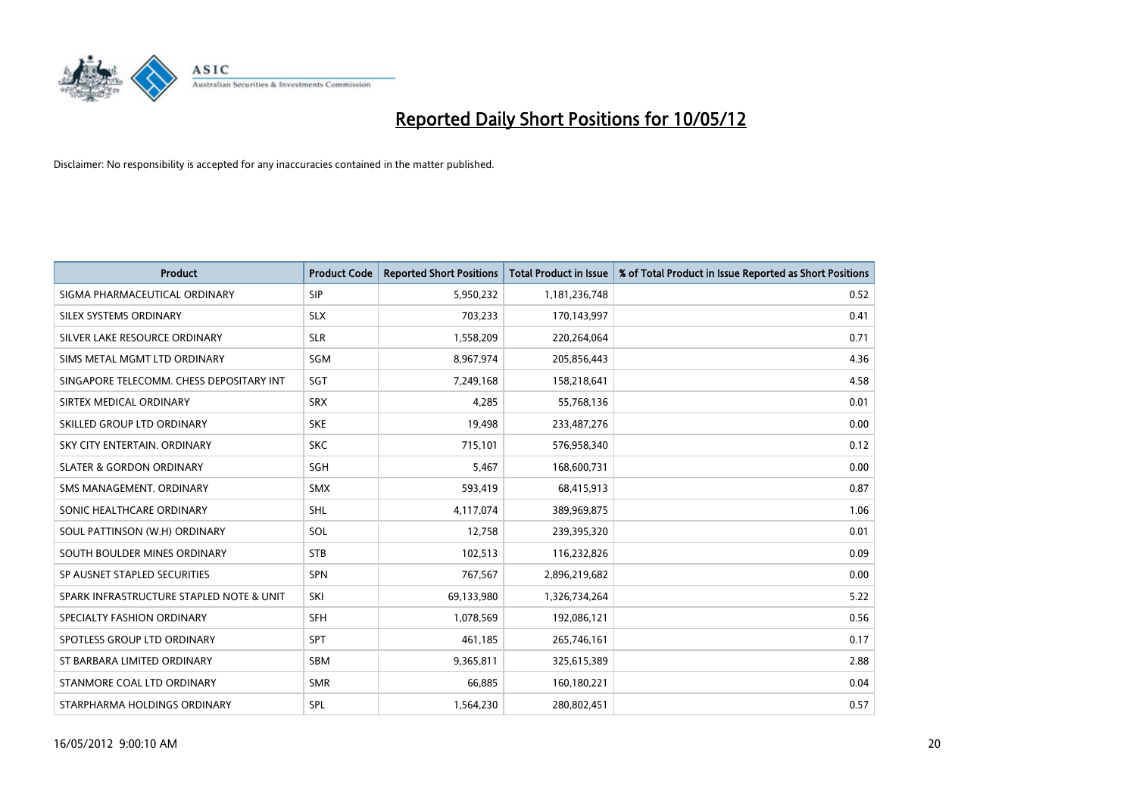

| <b>Product</b>                           | <b>Product Code</b> | <b>Reported Short Positions</b> | <b>Total Product in Issue</b> | % of Total Product in Issue Reported as Short Positions |
|------------------------------------------|---------------------|---------------------------------|-------------------------------|---------------------------------------------------------|
| SIGMA PHARMACEUTICAL ORDINARY            | <b>SIP</b>          | 5,950,232                       | 1,181,236,748                 | 0.52                                                    |
| SILEX SYSTEMS ORDINARY                   | <b>SLX</b>          | 703,233                         | 170,143,997                   | 0.41                                                    |
| SILVER LAKE RESOURCE ORDINARY            | <b>SLR</b>          | 1,558,209                       | 220,264,064                   | 0.71                                                    |
| SIMS METAL MGMT LTD ORDINARY             | SGM                 | 8,967,974                       | 205,856,443                   | 4.36                                                    |
| SINGAPORE TELECOMM. CHESS DEPOSITARY INT | SGT                 | 7,249,168                       | 158,218,641                   | 4.58                                                    |
| SIRTEX MEDICAL ORDINARY                  | <b>SRX</b>          | 4,285                           | 55,768,136                    | 0.01                                                    |
| SKILLED GROUP LTD ORDINARY               | <b>SKE</b>          | 19,498                          | 233,487,276                   | 0.00                                                    |
| SKY CITY ENTERTAIN, ORDINARY             | <b>SKC</b>          | 715,101                         | 576,958,340                   | 0.12                                                    |
| <b>SLATER &amp; GORDON ORDINARY</b>      | SGH                 | 5,467                           | 168,600,731                   | 0.00                                                    |
| SMS MANAGEMENT, ORDINARY                 | <b>SMX</b>          | 593,419                         | 68,415,913                    | 0.87                                                    |
| SONIC HEALTHCARE ORDINARY                | SHL                 | 4,117,074                       | 389,969,875                   | 1.06                                                    |
| SOUL PATTINSON (W.H) ORDINARY            | SOL                 | 12,758                          | 239,395,320                   | 0.01                                                    |
| SOUTH BOULDER MINES ORDINARY             | <b>STB</b>          | 102,513                         | 116,232,826                   | 0.09                                                    |
| SP AUSNET STAPLED SECURITIES             | <b>SPN</b>          | 767,567                         | 2,896,219,682                 | 0.00                                                    |
| SPARK INFRASTRUCTURE STAPLED NOTE & UNIT | SKI                 | 69,133,980                      | 1,326,734,264                 | 5.22                                                    |
| SPECIALTY FASHION ORDINARY               | SFH                 | 1,078,569                       | 192,086,121                   | 0.56                                                    |
| SPOTLESS GROUP LTD ORDINARY              | <b>SPT</b>          | 461,185                         | 265,746,161                   | 0.17                                                    |
| ST BARBARA LIMITED ORDINARY              | <b>SBM</b>          | 9,365,811                       | 325,615,389                   | 2.88                                                    |
| STANMORE COAL LTD ORDINARY               | <b>SMR</b>          | 66,885                          | 160,180,221                   | 0.04                                                    |
| STARPHARMA HOLDINGS ORDINARY             | <b>SPL</b>          | 1,564,230                       | 280,802,451                   | 0.57                                                    |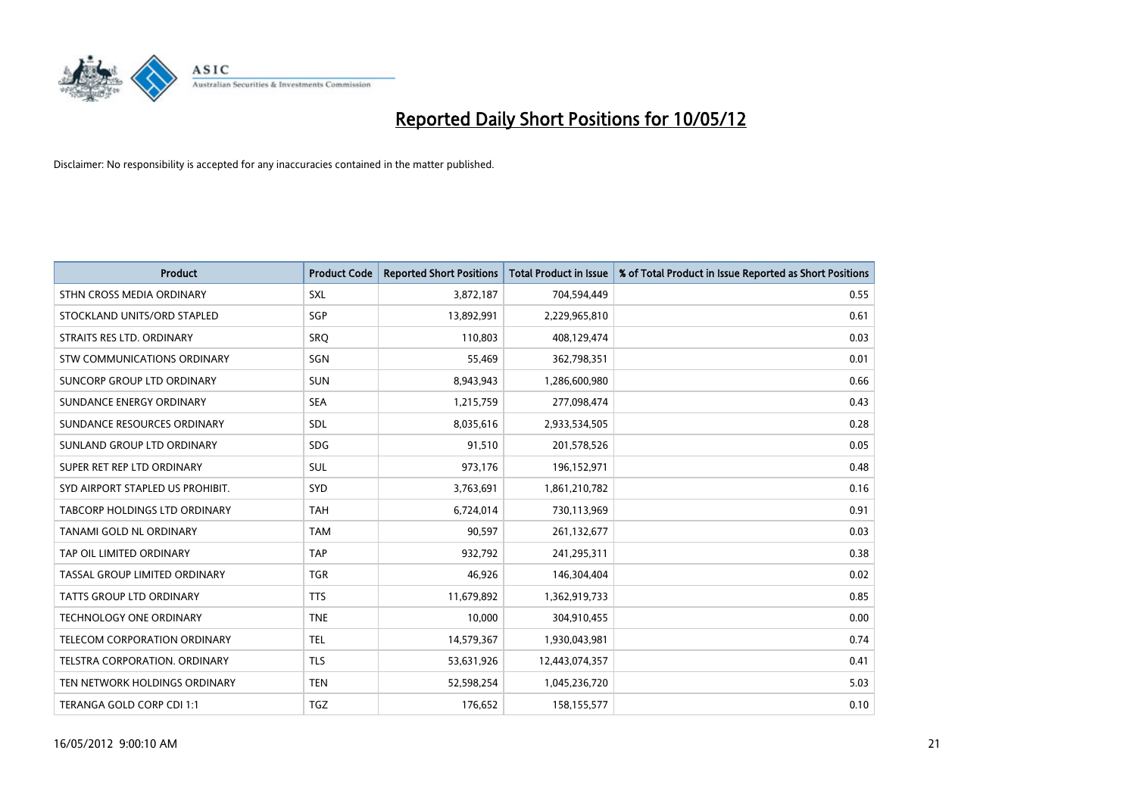

| <b>Product</b>                   | <b>Product Code</b> | <b>Reported Short Positions</b> | <b>Total Product in Issue</b> | % of Total Product in Issue Reported as Short Positions |
|----------------------------------|---------------------|---------------------------------|-------------------------------|---------------------------------------------------------|
| STHN CROSS MEDIA ORDINARY        | <b>SXL</b>          | 3,872,187                       | 704,594,449                   | 0.55                                                    |
| STOCKLAND UNITS/ORD STAPLED      | SGP                 | 13,892,991                      | 2,229,965,810                 | 0.61                                                    |
| STRAITS RES LTD. ORDINARY        | SRQ                 | 110,803                         | 408,129,474                   | 0.03                                                    |
| STW COMMUNICATIONS ORDINARY      | SGN                 | 55,469                          | 362,798,351                   | 0.01                                                    |
| SUNCORP GROUP LTD ORDINARY       | <b>SUN</b>          | 8,943,943                       | 1,286,600,980                 | 0.66                                                    |
| SUNDANCE ENERGY ORDINARY         | <b>SEA</b>          | 1,215,759                       | 277,098,474                   | 0.43                                                    |
| SUNDANCE RESOURCES ORDINARY      | <b>SDL</b>          | 8,035,616                       | 2,933,534,505                 | 0.28                                                    |
| SUNLAND GROUP LTD ORDINARY       | <b>SDG</b>          | 91,510                          | 201,578,526                   | 0.05                                                    |
| SUPER RET REP LTD ORDINARY       | <b>SUL</b>          | 973,176                         | 196,152,971                   | 0.48                                                    |
| SYD AIRPORT STAPLED US PROHIBIT. | SYD                 | 3,763,691                       | 1,861,210,782                 | 0.16                                                    |
| TABCORP HOLDINGS LTD ORDINARY    | <b>TAH</b>          | 6,724,014                       | 730,113,969                   | 0.91                                                    |
| TANAMI GOLD NL ORDINARY          | <b>TAM</b>          | 90,597                          | 261,132,677                   | 0.03                                                    |
| TAP OIL LIMITED ORDINARY         | <b>TAP</b>          | 932,792                         | 241,295,311                   | 0.38                                                    |
| TASSAL GROUP LIMITED ORDINARY    | <b>TGR</b>          | 46,926                          | 146,304,404                   | 0.02                                                    |
| <b>TATTS GROUP LTD ORDINARY</b>  | <b>TTS</b>          | 11,679,892                      | 1,362,919,733                 | 0.85                                                    |
| <b>TECHNOLOGY ONE ORDINARY</b>   | <b>TNE</b>          | 10,000                          | 304,910,455                   | 0.00                                                    |
| TELECOM CORPORATION ORDINARY     | <b>TEL</b>          | 14,579,367                      | 1,930,043,981                 | 0.74                                                    |
| TELSTRA CORPORATION. ORDINARY    | <b>TLS</b>          | 53,631,926                      | 12,443,074,357                | 0.41                                                    |
| TEN NETWORK HOLDINGS ORDINARY    | <b>TEN</b>          | 52,598,254                      | 1,045,236,720                 | 5.03                                                    |
| TERANGA GOLD CORP CDI 1:1        | TGZ                 | 176,652                         | 158,155,577                   | 0.10                                                    |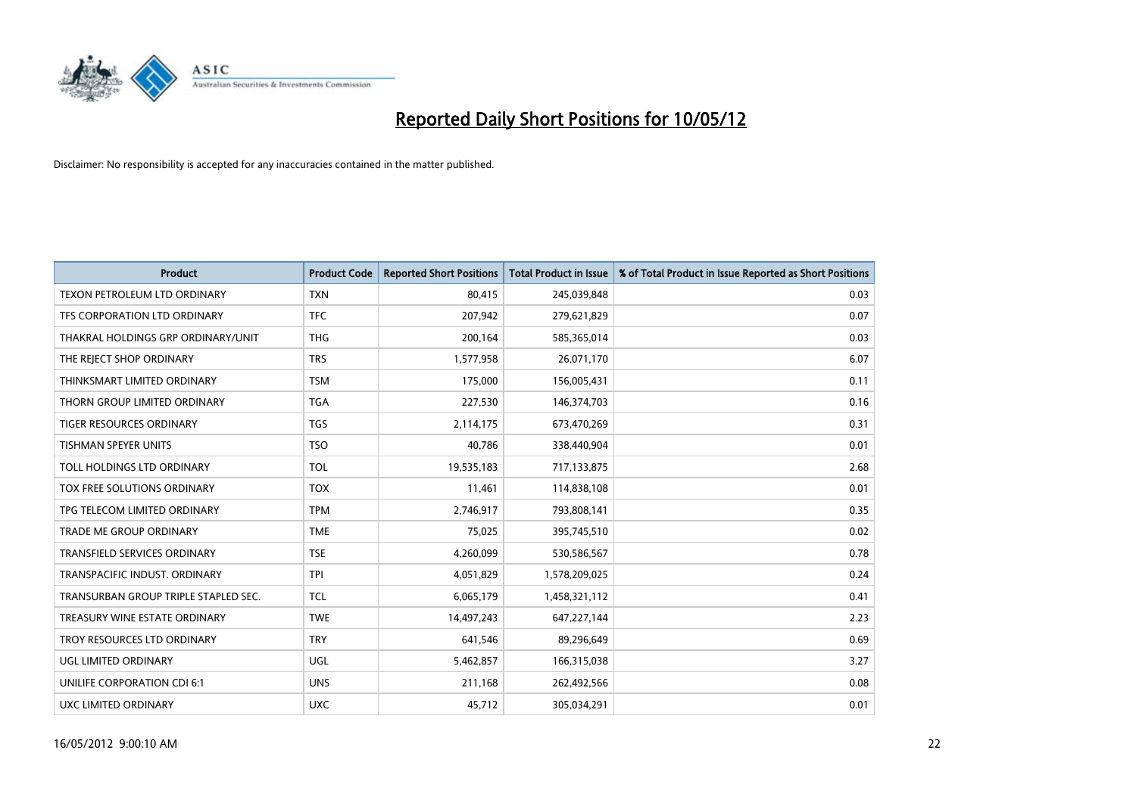

| Product                              | <b>Product Code</b> | <b>Reported Short Positions</b> | <b>Total Product in Issue</b> | % of Total Product in Issue Reported as Short Positions |
|--------------------------------------|---------------------|---------------------------------|-------------------------------|---------------------------------------------------------|
| TEXON PETROLEUM LTD ORDINARY         | <b>TXN</b>          | 80,415                          | 245,039,848                   | 0.03                                                    |
| TFS CORPORATION LTD ORDINARY         | <b>TFC</b>          | 207,942                         | 279,621,829                   | 0.07                                                    |
| THAKRAL HOLDINGS GRP ORDINARY/UNIT   | <b>THG</b>          | 200,164                         | 585,365,014                   | 0.03                                                    |
| THE REJECT SHOP ORDINARY             | <b>TRS</b>          | 1,577,958                       | 26,071,170                    | 6.07                                                    |
| THINKSMART LIMITED ORDINARY          | <b>TSM</b>          | 175,000                         | 156,005,431                   | 0.11                                                    |
| THORN GROUP LIMITED ORDINARY         | <b>TGA</b>          | 227,530                         | 146,374,703                   | 0.16                                                    |
| TIGER RESOURCES ORDINARY             | <b>TGS</b>          | 2,114,175                       | 673,470,269                   | 0.31                                                    |
| TISHMAN SPEYER UNITS                 | <b>TSO</b>          | 40,786                          | 338,440,904                   | 0.01                                                    |
| TOLL HOLDINGS LTD ORDINARY           | <b>TOL</b>          | 19,535,183                      | 717,133,875                   | 2.68                                                    |
| TOX FREE SOLUTIONS ORDINARY          | <b>TOX</b>          | 11,461                          | 114,838,108                   | 0.01                                                    |
| TPG TELECOM LIMITED ORDINARY         | <b>TPM</b>          | 2,746,917                       | 793,808,141                   | 0.35                                                    |
| <b>TRADE ME GROUP ORDINARY</b>       | <b>TME</b>          | 75,025                          | 395,745,510                   | 0.02                                                    |
| TRANSFIELD SERVICES ORDINARY         | <b>TSE</b>          | 4,260,099                       | 530,586,567                   | 0.78                                                    |
| TRANSPACIFIC INDUST, ORDINARY        | TPI                 | 4,051,829                       | 1,578,209,025                 | 0.24                                                    |
| TRANSURBAN GROUP TRIPLE STAPLED SEC. | <b>TCL</b>          | 6,065,179                       | 1,458,321,112                 | 0.41                                                    |
| TREASURY WINE ESTATE ORDINARY        | <b>TWE</b>          | 14,497,243                      | 647,227,144                   | 2.23                                                    |
| TROY RESOURCES LTD ORDINARY          | <b>TRY</b>          | 641,546                         | 89,296,649                    | 0.69                                                    |
| UGL LIMITED ORDINARY                 | UGL                 | 5,462,857                       | 166,315,038                   | 3.27                                                    |
| UNILIFE CORPORATION CDI 6:1          | <b>UNS</b>          | 211,168                         | 262,492,566                   | 0.08                                                    |
| UXC LIMITED ORDINARY                 | <b>UXC</b>          | 45,712                          | 305,034,291                   | 0.01                                                    |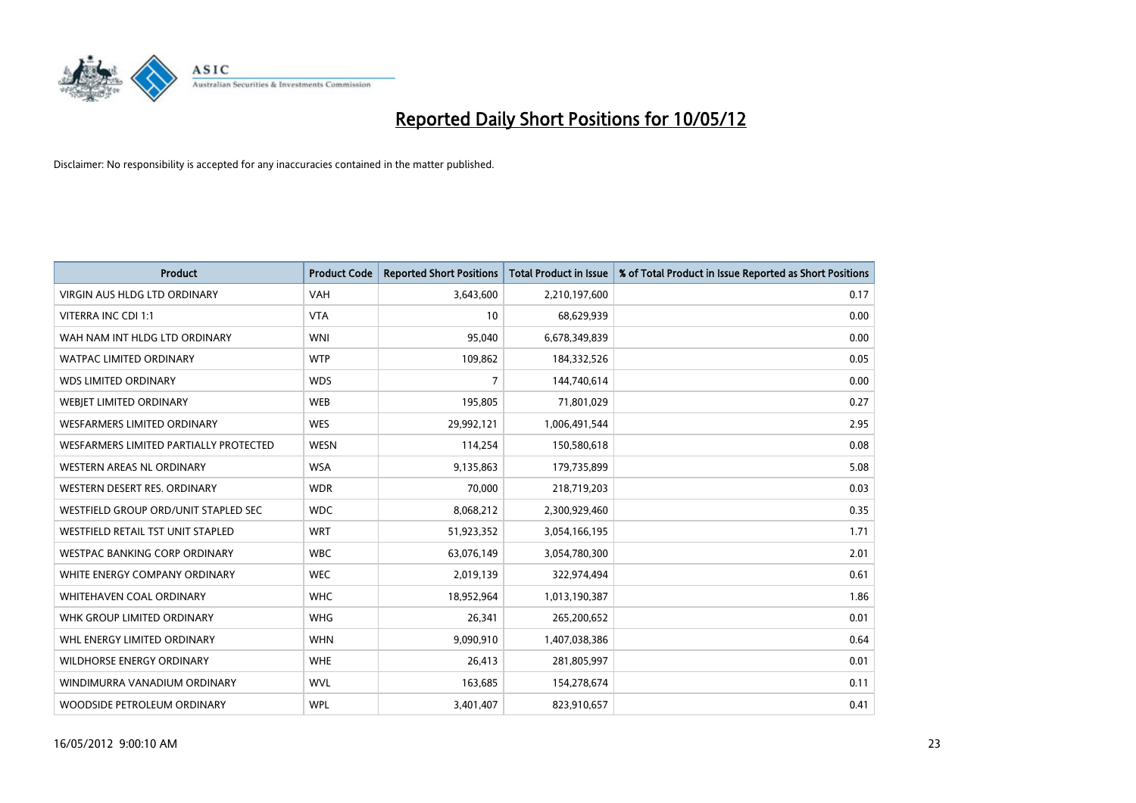

| <b>Product</b>                         | <b>Product Code</b> | <b>Reported Short Positions</b> | <b>Total Product in Issue</b> | % of Total Product in Issue Reported as Short Positions |
|----------------------------------------|---------------------|---------------------------------|-------------------------------|---------------------------------------------------------|
| <b>VIRGIN AUS HLDG LTD ORDINARY</b>    | <b>VAH</b>          | 3,643,600                       | 2,210,197,600                 | 0.17                                                    |
| VITERRA INC CDI 1:1                    | <b>VTA</b>          | 10                              | 68,629,939                    | 0.00                                                    |
| WAH NAM INT HLDG LTD ORDINARY          | <b>WNI</b>          | 95,040                          | 6,678,349,839                 | 0.00                                                    |
| <b>WATPAC LIMITED ORDINARY</b>         | <b>WTP</b>          | 109,862                         | 184,332,526                   | 0.05                                                    |
| <b>WDS LIMITED ORDINARY</b>            | <b>WDS</b>          | $\overline{7}$                  | 144,740,614                   | 0.00                                                    |
| WEBJET LIMITED ORDINARY                | <b>WEB</b>          | 195,805                         | 71,801,029                    | 0.27                                                    |
| <b>WESFARMERS LIMITED ORDINARY</b>     | <b>WES</b>          | 29,992,121                      | 1,006,491,544                 | 2.95                                                    |
| WESFARMERS LIMITED PARTIALLY PROTECTED | <b>WESN</b>         | 114,254                         | 150,580,618                   | 0.08                                                    |
| <b>WESTERN AREAS NL ORDINARY</b>       | <b>WSA</b>          | 9,135,863                       | 179,735,899                   | 5.08                                                    |
| WESTERN DESERT RES. ORDINARY           | <b>WDR</b>          | 70,000                          | 218,719,203                   | 0.03                                                    |
| WESTFIELD GROUP ORD/UNIT STAPLED SEC   | <b>WDC</b>          | 8,068,212                       | 2,300,929,460                 | 0.35                                                    |
| WESTFIELD RETAIL TST UNIT STAPLED      | <b>WRT</b>          | 51,923,352                      | 3,054,166,195                 | 1.71                                                    |
| <b>WESTPAC BANKING CORP ORDINARY</b>   | <b>WBC</b>          | 63,076,149                      | 3,054,780,300                 | 2.01                                                    |
| WHITE ENERGY COMPANY ORDINARY          | <b>WEC</b>          | 2,019,139                       | 322,974,494                   | 0.61                                                    |
| WHITEHAVEN COAL ORDINARY               | <b>WHC</b>          | 18,952,964                      | 1,013,190,387                 | 1.86                                                    |
| WHK GROUP LIMITED ORDINARY             | <b>WHG</b>          | 26,341                          | 265,200,652                   | 0.01                                                    |
| WHL ENERGY LIMITED ORDINARY            | <b>WHN</b>          | 9,090,910                       | 1,407,038,386                 | 0.64                                                    |
| <b>WILDHORSE ENERGY ORDINARY</b>       | <b>WHE</b>          | 26,413                          | 281,805,997                   | 0.01                                                    |
| WINDIMURRA VANADIUM ORDINARY           | <b>WVL</b>          | 163,685                         | 154,278,674                   | 0.11                                                    |
| WOODSIDE PETROLEUM ORDINARY            | <b>WPL</b>          | 3,401,407                       | 823,910,657                   | 0.41                                                    |